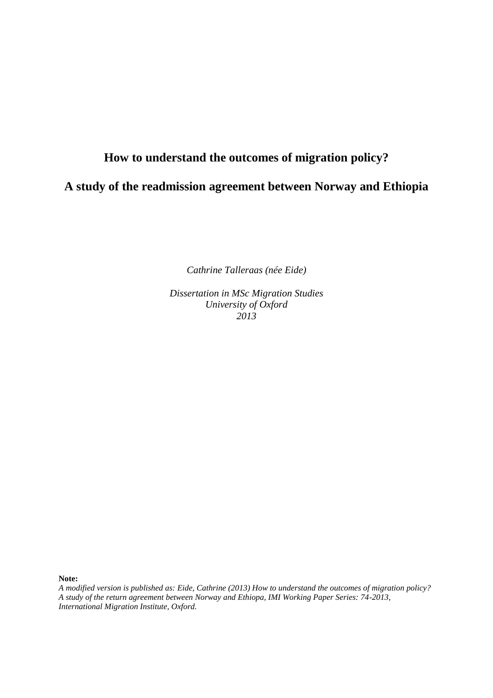# **How to understand the outcomes of migration policy?**

**A study of the readmission agreement between Norway and Ethiopia**

*Cathrine Talleraas (née Eide)* 

*Dissertation in MSc Migration Studies University of Oxford 2013*

**Note:**

*A modified version is published as: Eide, Cathrine (2013) How to understand the outcomes of migration policy? A study of the return agreement between Norway and Ethiopa, IMI Working Paper Series: 74-2013, International Migration Institute, Oxford.*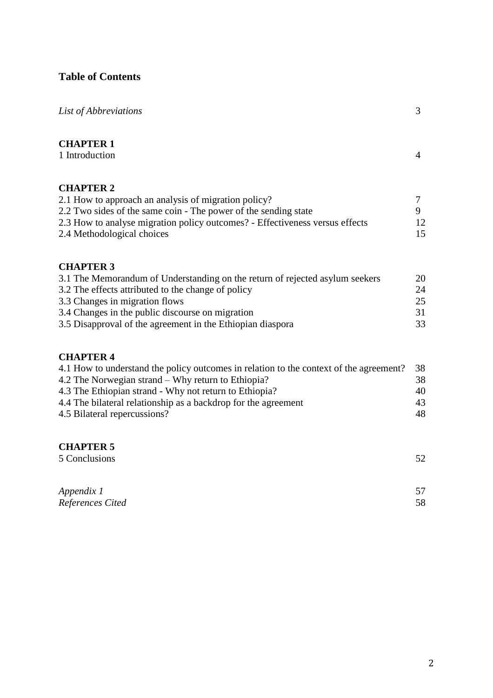## **Table of Contents**

| List of Abbreviations                                                                                                                                                                                                                                                                                                        | 3                          |
|------------------------------------------------------------------------------------------------------------------------------------------------------------------------------------------------------------------------------------------------------------------------------------------------------------------------------|----------------------------|
| <b>CHAPTER 1</b><br>1 Introduction                                                                                                                                                                                                                                                                                           | $\overline{4}$             |
| <b>CHAPTER 2</b><br>2.1 How to approach an analysis of migration policy?<br>2.2 Two sides of the same coin - The power of the sending state<br>2.3 How to analyse migration policy outcomes? - Effectiveness versus effects<br>2.4 Methodological choices                                                                    | 7<br>9<br>12<br>15         |
| <b>CHAPTER 3</b><br>3.1 The Memorandum of Understanding on the return of rejected asylum seekers<br>3.2 The effects attributed to the change of policy<br>3.3 Changes in migration flows<br>3.4 Changes in the public discourse on migration<br>3.5 Disapproval of the agreement in the Ethiopian diaspora                   | 20<br>24<br>25<br>31<br>33 |
| <b>CHAPTER 4</b><br>4.1 How to understand the policy outcomes in relation to the context of the agreement?<br>4.2 The Norwegian strand – Why return to Ethiopia?<br>4.3 The Ethiopian strand - Why not return to Ethiopia?<br>4.4 The bilateral relationship as a backdrop for the agreement<br>4.5 Bilateral repercussions? | 38<br>38<br>40<br>43<br>48 |
| <b>CHAPTER 5</b><br>5 Conclusions                                                                                                                                                                                                                                                                                            | 52                         |

| Appendix 1       | 57 |
|------------------|----|
| References Cited | 58 |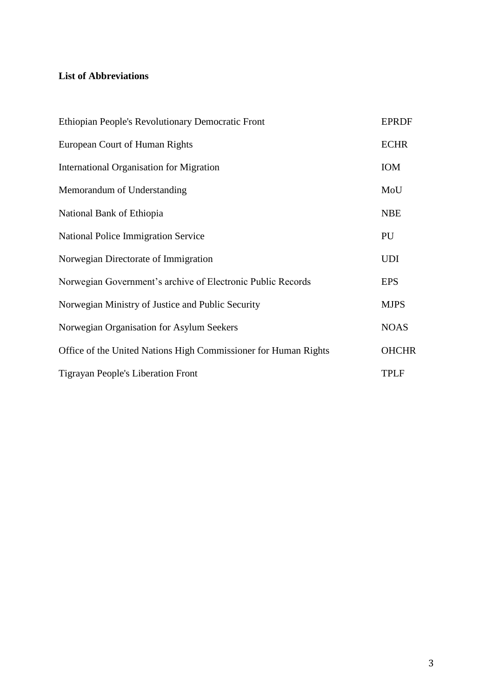## **List of Abbreviations**

| Ethiopian People's Revolutionary Democratic Front               | <b>EPRDF</b> |
|-----------------------------------------------------------------|--------------|
| European Court of Human Rights                                  | <b>ECHR</b>  |
| International Organisation for Migration                        | IOM          |
| Memorandum of Understanding                                     | MoU          |
| National Bank of Ethiopia                                       | <b>NBE</b>   |
| <b>National Police Immigration Service</b>                      | PU           |
| Norwegian Directorate of Immigration                            | <b>UDI</b>   |
| Norwegian Government's archive of Electronic Public Records     | <b>EPS</b>   |
| Norwegian Ministry of Justice and Public Security               | <b>MJPS</b>  |
| Norwegian Organisation for Asylum Seekers                       | <b>NOAS</b>  |
| Office of the United Nations High Commissioner for Human Rights | <b>OHCHR</b> |
| <b>Tigrayan People's Liberation Front</b>                       | <b>TPLF</b>  |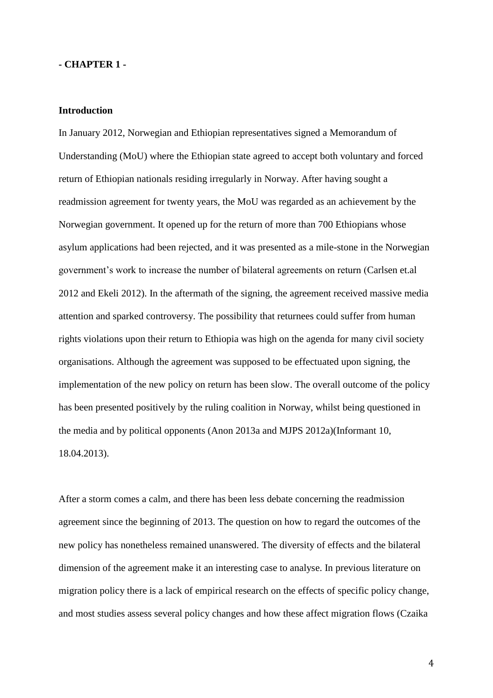## **- CHAPTER 1 -**

### **Introduction**

In January 2012, Norwegian and Ethiopian representatives signed a Memorandum of Understanding (MoU) where the Ethiopian state agreed to accept both voluntary and forced return of Ethiopian nationals residing irregularly in Norway. After having sought a readmission agreement for twenty years, the MoU was regarded as an achievement by the Norwegian government. It opened up for the return of more than 700 Ethiopians whose asylum applications had been rejected, and it was presented as a mile-stone in the Norwegian government's work to increase the number of bilateral agreements on return (Carlsen et.al 2012 and Ekeli 2012). In the aftermath of the signing, the agreement received massive media attention and sparked controversy. The possibility that returnees could suffer from human rights violations upon their return to Ethiopia was high on the agenda for many civil society organisations. Although the agreement was supposed to be effectuated upon signing, the implementation of the new policy on return has been slow. The overall outcome of the policy has been presented positively by the ruling coalition in Norway, whilst being questioned in the media and by political opponents (Anon 2013a and MJPS 2012a)(Informant 10, 18.04.2013).

After a storm comes a calm, and there has been less debate concerning the readmission agreement since the beginning of 2013. The question on how to regard the outcomes of the new policy has nonetheless remained unanswered. The diversity of effects and the bilateral dimension of the agreement make it an interesting case to analyse. In previous literature on migration policy there is a lack of empirical research on the effects of specific policy change, and most studies assess several policy changes and how these affect migration flows (Czaika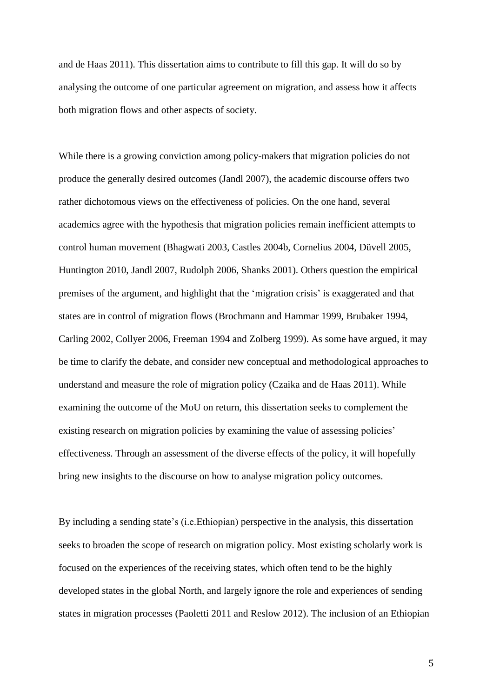and de Haas 2011). This dissertation aims to contribute to fill this gap. It will do so by analysing the outcome of one particular agreement on migration, and assess how it affects both migration flows and other aspects of society.

While there is a growing conviction among policy-makers that migration policies do not produce the generally desired outcomes (Jandl 2007), the academic discourse offers two rather dichotomous views on the effectiveness of policies. On the one hand, several academics agree with the hypothesis that migration policies remain inefficient attempts to control human movement (Bhagwati 2003, Castles 2004b, Cornelius 2004, Düvell 2005, Huntington 2010, Jandl 2007, Rudolph 2006, Shanks 2001). Others question the empirical premises of the argument, and highlight that the 'migration crisis' is exaggerated and that states are in control of migration flows (Brochmann and Hammar 1999, Brubaker 1994, Carling 2002, Collyer 2006, Freeman 1994 and Zolberg 1999). As some have argued, it may be time to clarify the debate, and consider new conceptual and methodological approaches to understand and measure the role of migration policy (Czaika and de Haas 2011). While examining the outcome of the MoU on return, this dissertation seeks to complement the existing research on migration policies by examining the value of assessing policies' effectiveness. Through an assessment of the diverse effects of the policy, it will hopefully bring new insights to the discourse on how to analyse migration policy outcomes.

By including a sending state's (i.e.Ethiopian) perspective in the analysis, this dissertation seeks to broaden the scope of research on migration policy. Most existing scholarly work is focused on the experiences of the receiving states, which often tend to be the highly developed states in the global North, and largely ignore the role and experiences of sending states in migration processes (Paoletti 2011 and Reslow 2012). The inclusion of an Ethiopian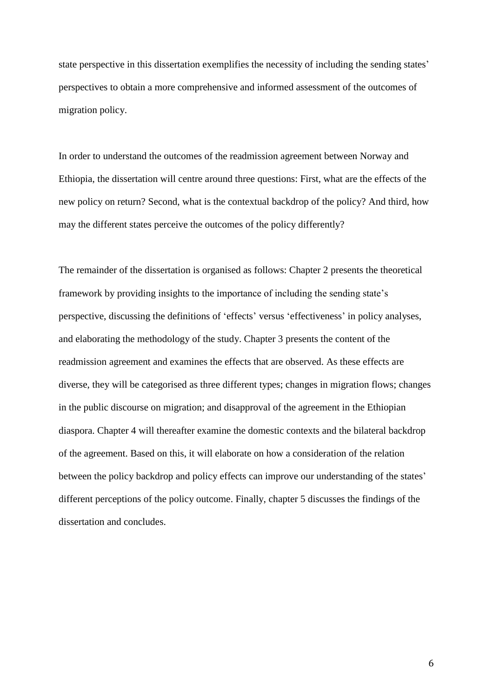state perspective in this dissertation exemplifies the necessity of including the sending states' perspectives to obtain a more comprehensive and informed assessment of the outcomes of migration policy.

In order to understand the outcomes of the readmission agreement between Norway and Ethiopia, the dissertation will centre around three questions: First, what are the effects of the new policy on return? Second, what is the contextual backdrop of the policy? And third, how may the different states perceive the outcomes of the policy differently?

The remainder of the dissertation is organised as follows: Chapter 2 presents the theoretical framework by providing insights to the importance of including the sending state's perspective, discussing the definitions of 'effects' versus 'effectiveness' in policy analyses, and elaborating the methodology of the study. Chapter 3 presents the content of the readmission agreement and examines the effects that are observed. As these effects are diverse, they will be categorised as three different types; changes in migration flows; changes in the public discourse on migration; and disapproval of the agreement in the Ethiopian diaspora. Chapter 4 will thereafter examine the domestic contexts and the bilateral backdrop of the agreement. Based on this, it will elaborate on how a consideration of the relation between the policy backdrop and policy effects can improve our understanding of the states' different perceptions of the policy outcome. Finally, chapter 5 discusses the findings of the dissertation and concludes.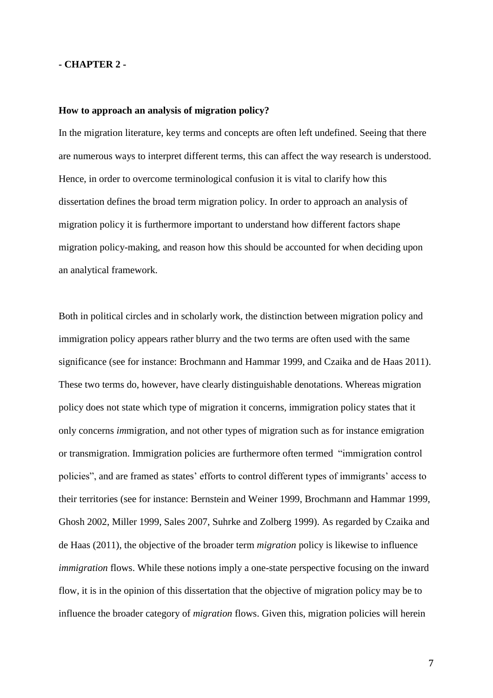## **- CHAPTER 2 -**

### **How to approach an analysis of migration policy?**

In the migration literature, key terms and concepts are often left undefined. Seeing that there are numerous ways to interpret different terms, this can affect the way research is understood. Hence, in order to overcome terminological confusion it is vital to clarify how this dissertation defines the broad term migration policy. In order to approach an analysis of migration policy it is furthermore important to understand how different factors shape migration policy-making, and reason how this should be accounted for when deciding upon an analytical framework.

Both in political circles and in scholarly work, the distinction between migration policy and immigration policy appears rather blurry and the two terms are often used with the same significance (see for instance: Brochmann and Hammar 1999, and Czaika and de Haas 2011). These two terms do, however, have clearly distinguishable denotations. Whereas migration policy does not state which type of migration it concerns, immigration policy states that it only concerns *im*migration, and not other types of migration such as for instance emigration or transmigration. Immigration policies are furthermore often termed "immigration control policies", and are framed as states' efforts to control different types of immigrants' access to their territories (see for instance: Bernstein and Weiner 1999, Brochmann and Hammar 1999, Ghosh 2002, Miller 1999, Sales 2007, Suhrke and Zolberg 1999). As regarded by Czaika and de Haas (2011), the objective of the broader term *migration* policy is likewise to influence *immigration* flows. While these notions imply a one-state perspective focusing on the inward flow, it is in the opinion of this dissertation that the objective of migration policy may be to influence the broader category of *migration* flows. Given this, migration policies will herein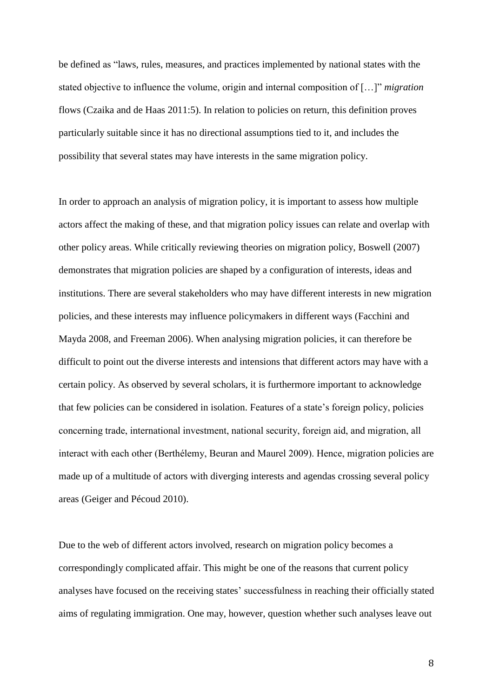be defined as "laws, rules, measures, and practices implemented by national states with the stated objective to influence the volume, origin and internal composition of […]" *migration* flows (Czaika and de Haas 2011:5). In relation to policies on return, this definition proves particularly suitable since it has no directional assumptions tied to it, and includes the possibility that several states may have interests in the same migration policy.

In order to approach an analysis of migration policy, it is important to assess how multiple actors affect the making of these, and that migration policy issues can relate and overlap with other policy areas. While critically reviewing theories on migration policy, Boswell (2007) demonstrates that migration policies are shaped by a configuration of interests, ideas and institutions. There are several stakeholders who may have different interests in new migration policies, and these interests may influence policymakers in different ways (Facchini and Mayda 2008, and Freeman 2006). When analysing migration policies, it can therefore be difficult to point out the diverse interests and intensions that different actors may have with a certain policy. As observed by several scholars, it is furthermore important to acknowledge that few policies can be considered in isolation. Features of a state's foreign policy, policies concerning trade, international investment, national security, foreign aid, and migration, all interact with each other (Berthélemy, Beuran and Maurel 2009). Hence, migration policies are made up of a multitude of actors with diverging interests and agendas crossing several policy areas (Geiger and Pécoud 2010).

Due to the web of different actors involved, research on migration policy becomes a correspondingly complicated affair. This might be one of the reasons that current policy analyses have focused on the receiving states' successfulness in reaching their officially stated aims of regulating immigration. One may, however, question whether such analyses leave out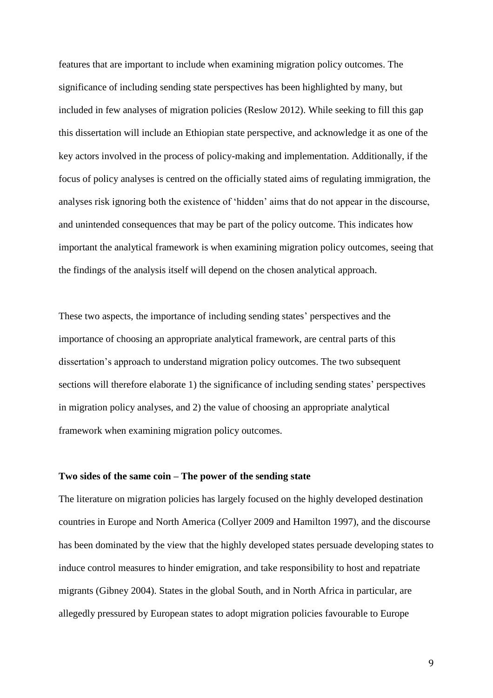features that are important to include when examining migration policy outcomes. The significance of including sending state perspectives has been highlighted by many, but included in few analyses of migration policies (Reslow 2012). While seeking to fill this gap this dissertation will include an Ethiopian state perspective, and acknowledge it as one of the key actors involved in the process of policy-making and implementation. Additionally, if the focus of policy analyses is centred on the officially stated aims of regulating immigration, the analyses risk ignoring both the existence of 'hidden' aims that do not appear in the discourse, and unintended consequences that may be part of the policy outcome. This indicates how important the analytical framework is when examining migration policy outcomes, seeing that the findings of the analysis itself will depend on the chosen analytical approach.

These two aspects, the importance of including sending states' perspectives and the importance of choosing an appropriate analytical framework, are central parts of this dissertation's approach to understand migration policy outcomes. The two subsequent sections will therefore elaborate 1) the significance of including sending states' perspectives in migration policy analyses, and 2) the value of choosing an appropriate analytical framework when examining migration policy outcomes.

## **Two sides of the same coin – The power of the sending state**

The literature on migration policies has largely focused on the highly developed destination countries in Europe and North America (Collyer 2009 and Hamilton 1997), and the discourse has been dominated by the view that the highly developed states persuade developing states to induce control measures to hinder emigration, and take responsibility to host and repatriate migrants (Gibney 2004). States in the global South, and in North Africa in particular, are allegedly pressured by European states to adopt migration policies favourable to Europe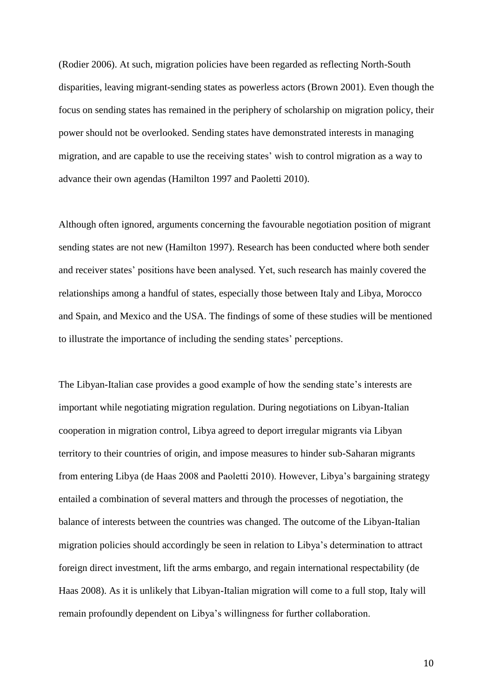(Rodier 2006). At such, migration policies have been regarded as reflecting North-South disparities, leaving migrant-sending states as powerless actors (Brown 2001). Even though the focus on sending states has remained in the periphery of scholarship on migration policy, their power should not be overlooked. Sending states have demonstrated interests in managing migration, and are capable to use the receiving states' wish to control migration as a way to advance their own agendas (Hamilton 1997 and Paoletti 2010).

Although often ignored, arguments concerning the favourable negotiation position of migrant sending states are not new (Hamilton 1997). Research has been conducted where both sender and receiver states' positions have been analysed. Yet, such research has mainly covered the relationships among a handful of states, especially those between Italy and Libya, Morocco and Spain, and Mexico and the USA. The findings of some of these studies will be mentioned to illustrate the importance of including the sending states' perceptions.

The Libyan-Italian case provides a good example of how the sending state's interests are important while negotiating migration regulation. During negotiations on Libyan-Italian cooperation in migration control, Libya agreed to deport irregular migrants via Libyan territory to their countries of origin, and impose measures to hinder sub-Saharan migrants from entering Libya (de Haas 2008 and Paoletti 2010). However, Libya's bargaining strategy entailed a combination of several matters and through the processes of negotiation, the balance of interests between the countries was changed. The outcome of the Libyan-Italian migration policies should accordingly be seen in relation to Libya's determination to attract foreign direct investment, lift the arms embargo, and regain international respectability (de Haas 2008). As it is unlikely that Libyan-Italian migration will come to a full stop, Italy will remain profoundly dependent on Libya's willingness for further collaboration.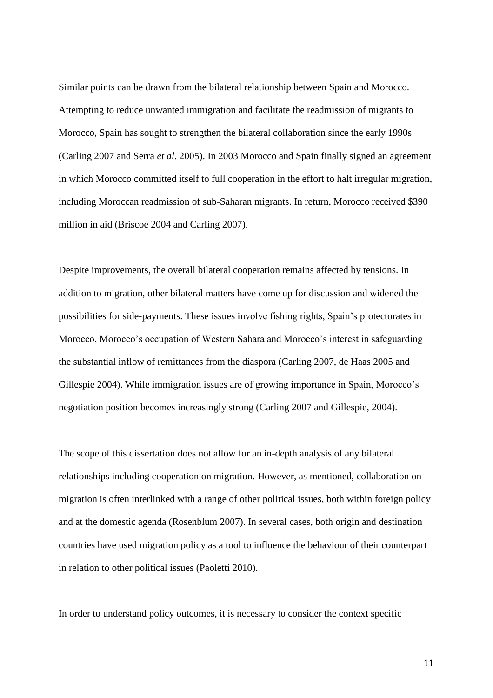Similar points can be drawn from the bilateral relationship between Spain and Morocco. Attempting to reduce unwanted immigration and facilitate the readmission of migrants to Morocco, Spain has sought to strengthen the bilateral collaboration since the early 1990s (Carling 2007 and Serra *et al.* 2005). In 2003 Morocco and Spain finally signed an agreement in which Morocco committed itself to full cooperation in the effort to halt irregular migration, including Moroccan readmission of sub-Saharan migrants. In return, Morocco received \$390 million in aid (Briscoe 2004 and Carling 2007).

Despite improvements, the overall bilateral cooperation remains affected by tensions. In addition to migration, other bilateral matters have come up for discussion and widened the possibilities for side-payments. These issues involve fishing rights, Spain's protectorates in Morocco, Morocco's occupation of Western Sahara and Morocco's interest in safeguarding the substantial inflow of remittances from the diaspora (Carling 2007, de Haas 2005 and Gillespie 2004). While immigration issues are of growing importance in Spain, Morocco's negotiation position becomes increasingly strong (Carling 2007 and Gillespie, 2004).

The scope of this dissertation does not allow for an in-depth analysis of any bilateral relationships including cooperation on migration. However, as mentioned, collaboration on migration is often interlinked with a range of other political issues, both within foreign policy and at the domestic agenda (Rosenblum 2007). In several cases, both origin and destination countries have used migration policy as a tool to influence the behaviour of their counterpart in relation to other political issues (Paoletti 2010).

In order to understand policy outcomes, it is necessary to consider the context specific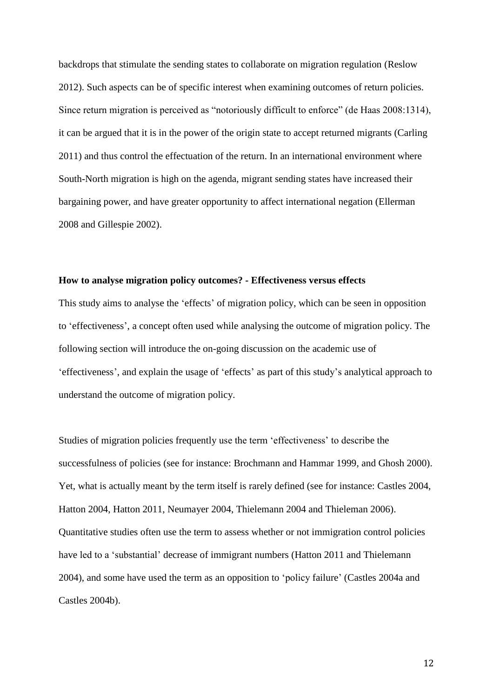backdrops that stimulate the sending states to collaborate on migration regulation (Reslow 2012). Such aspects can be of specific interest when examining outcomes of return policies. Since return migration is perceived as "notoriously difficult to enforce" (de Haas 2008:1314), it can be argued that it is in the power of the origin state to accept returned migrants (Carling 2011) and thus control the effectuation of the return. In an international environment where South-North migration is high on the agenda, migrant sending states have increased their bargaining power, and have greater opportunity to affect international negation (Ellerman 2008 and Gillespie 2002).

## **How to analyse migration policy outcomes? - Effectiveness versus effects**

This study aims to analyse the 'effects' of migration policy, which can be seen in opposition to 'effectiveness', a concept often used while analysing the outcome of migration policy. The following section will introduce the on-going discussion on the academic use of 'effectiveness', and explain the usage of 'effects' as part of this study's analytical approach to understand the outcome of migration policy.

Studies of migration policies frequently use the term 'effectiveness' to describe the successfulness of policies (see for instance: Brochmann and Hammar 1999, and Ghosh 2000). Yet, what is actually meant by the term itself is rarely defined (see for instance: Castles 2004, Hatton 2004, Hatton 2011, Neumayer 2004, Thielemann 2004 and Thieleman 2006). Quantitative studies often use the term to assess whether or not immigration control policies have led to a 'substantial' decrease of immigrant numbers (Hatton 2011 and Thielemann 2004), and some have used the term as an opposition to 'policy failure' (Castles 2004a and Castles 2004b).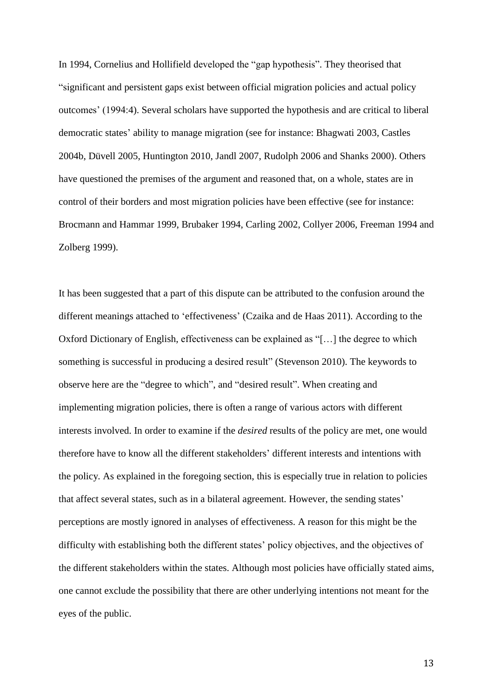In 1994, Cornelius and Hollifield developed the "gap hypothesis". They theorised that "significant and persistent gaps exist between official migration policies and actual policy outcomes' (1994:4). Several scholars have supported the hypothesis and are critical to liberal democratic states' ability to manage migration (see for instance: Bhagwati 2003, Castles 2004b, Düvell 2005, Huntington 2010, Jandl 2007, Rudolph 2006 and Shanks 2000). Others have questioned the premises of the argument and reasoned that, on a whole, states are in control of their borders and most migration policies have been effective (see for instance: Brocmann and Hammar 1999, Brubaker 1994, Carling 2002, Collyer 2006, Freeman 1994 and Zolberg 1999).

It has been suggested that a part of this dispute can be attributed to the confusion around the different meanings attached to 'effectiveness' (Czaika and de Haas 2011). According to the Oxford Dictionary of English, effectiveness can be explained as "[…] the degree to which something is successful in producing a desired result" (Stevenson 2010). The keywords to observe here are the "degree to which", and "desired result". When creating and implementing migration policies, there is often a range of various actors with different interests involved. In order to examine if the *desired* results of the policy are met, one would therefore have to know all the different stakeholders' different interests and intentions with the policy*.* As explained in the foregoing section, this is especially true in relation to policies that affect several states, such as in a bilateral agreement. However, the sending states' perceptions are mostly ignored in analyses of effectiveness. A reason for this might be the difficulty with establishing both the different states' policy objectives, and the objectives of the different stakeholders within the states. Although most policies have officially stated aims, one cannot exclude the possibility that there are other underlying intentions not meant for the eyes of the public.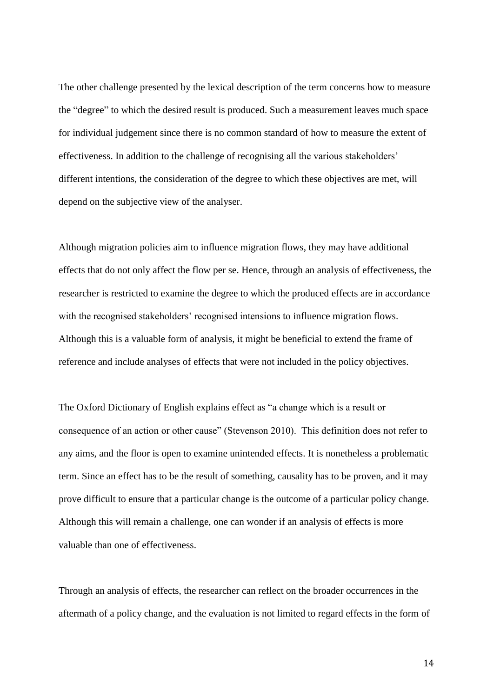The other challenge presented by the lexical description of the term concerns how to measure the "degree" to which the desired result is produced. Such a measurement leaves much space for individual judgement since there is no common standard of how to measure the extent of effectiveness. In addition to the challenge of recognising all the various stakeholders' different intentions, the consideration of the degree to which these objectives are met, will depend on the subjective view of the analyser.

Although migration policies aim to influence migration flows, they may have additional effects that do not only affect the flow per se. Hence, through an analysis of effectiveness, the researcher is restricted to examine the degree to which the produced effects are in accordance with the recognised stakeholders' recognised intensions to influence migration flows. Although this is a valuable form of analysis, it might be beneficial to extend the frame of reference and include analyses of effects that were not included in the policy objectives.

The Oxford Dictionary of English explains effect as "a change which is a result or consequence of an action or other cause" (Stevenson 2010). This definition does not refer to any aims, and the floor is open to examine unintended effects. It is nonetheless a problematic term. Since an effect has to be the result of something, causality has to be proven, and it may prove difficult to ensure that a particular change is the outcome of a particular policy change. Although this will remain a challenge, one can wonder if an analysis of effects is more valuable than one of effectiveness.

Through an analysis of effects, the researcher can reflect on the broader occurrences in the aftermath of a policy change, and the evaluation is not limited to regard effects in the form of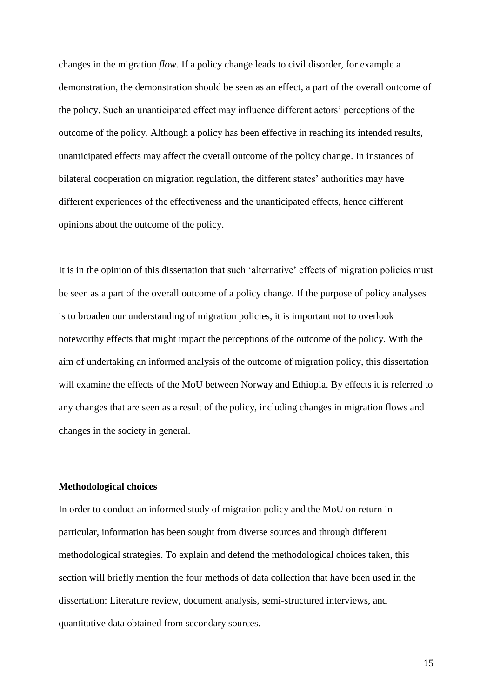changes in the migration *flow*. If a policy change leads to civil disorder, for example a demonstration, the demonstration should be seen as an effect, a part of the overall outcome of the policy. Such an unanticipated effect may influence different actors' perceptions of the outcome of the policy. Although a policy has been effective in reaching its intended results, unanticipated effects may affect the overall outcome of the policy change. In instances of bilateral cooperation on migration regulation, the different states' authorities may have different experiences of the effectiveness and the unanticipated effects, hence different opinions about the outcome of the policy.

It is in the opinion of this dissertation that such 'alternative' effects of migration policies must be seen as a part of the overall outcome of a policy change. If the purpose of policy analyses is to broaden our understanding of migration policies, it is important not to overlook noteworthy effects that might impact the perceptions of the outcome of the policy. With the aim of undertaking an informed analysis of the outcome of migration policy, this dissertation will examine the effects of the MoU between Norway and Ethiopia. By effects it is referred to any changes that are seen as a result of the policy, including changes in migration flows and changes in the society in general.

## **Methodological choices**

In order to conduct an informed study of migration policy and the MoU on return in particular, information has been sought from diverse sources and through different methodological strategies. To explain and defend the methodological choices taken, this section will briefly mention the four methods of data collection that have been used in the dissertation: Literature review, document analysis, semi-structured interviews, and quantitative data obtained from secondary sources.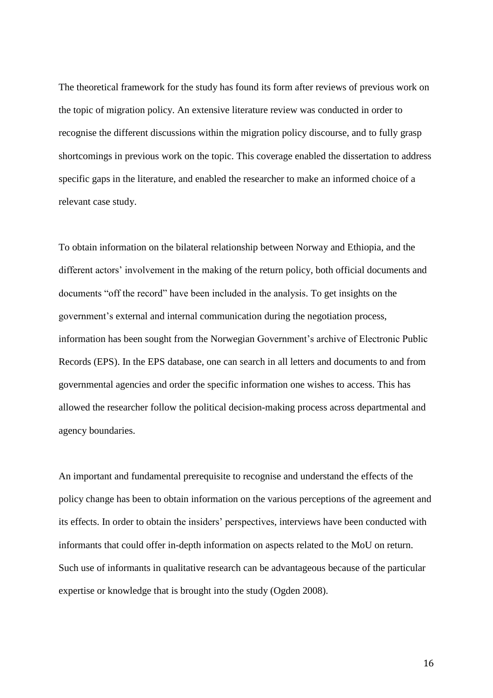The theoretical framework for the study has found its form after reviews of previous work on the topic of migration policy. An extensive literature review was conducted in order to recognise the different discussions within the migration policy discourse, and to fully grasp shortcomings in previous work on the topic. This coverage enabled the dissertation to address specific gaps in the literature, and enabled the researcher to make an informed choice of a relevant case study.

To obtain information on the bilateral relationship between Norway and Ethiopia, and the different actors' involvement in the making of the return policy, both official documents and documents "off the record" have been included in the analysis. To get insights on the government's external and internal communication during the negotiation process, information has been sought from the Norwegian Government's archive of Electronic Public Records (EPS). In the EPS database, one can search in all letters and documents to and from governmental agencies and order the specific information one wishes to access. This has allowed the researcher follow the political decision-making process across departmental and agency boundaries.

An important and fundamental prerequisite to recognise and understand the effects of the policy change has been to obtain information on the various perceptions of the agreement and its effects. In order to obtain the insiders' perspectives, interviews have been conducted with informants that could offer in-depth information on aspects related to the MoU on return. Such use of informants in qualitative research can be advantageous because of the particular expertise or knowledge that is brought into the study (Ogden 2008).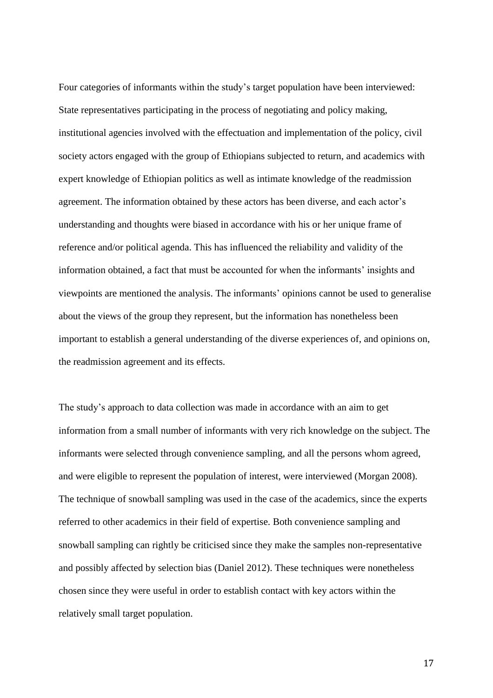Four categories of informants within the study's target population have been interviewed: State representatives participating in the process of negotiating and policy making, institutional agencies involved with the effectuation and implementation of the policy, civil society actors engaged with the group of Ethiopians subjected to return, and academics with expert knowledge of Ethiopian politics as well as intimate knowledge of the readmission agreement. The information obtained by these actors has been diverse, and each actor's understanding and thoughts were biased in accordance with his or her unique frame of reference and/or political agenda. This has influenced the reliability and validity of the information obtained, a fact that must be accounted for when the informants' insights and viewpoints are mentioned the analysis. The informants' opinions cannot be used to generalise about the views of the group they represent, but the information has nonetheless been important to establish a general understanding of the diverse experiences of, and opinions on, the readmission agreement and its effects.

The study's approach to data collection was made in accordance with an aim to get information from a small number of informants with very rich knowledge on the subject. The informants were selected through convenience sampling, and all the persons whom agreed, and were eligible to represent the population of interest, were interviewed (Morgan 2008). The technique of snowball sampling was used in the case of the academics, since the experts referred to other academics in their field of expertise. Both convenience sampling and snowball sampling can rightly be criticised since they make the samples non-representative and possibly affected by selection bias (Daniel 2012). These techniques were nonetheless chosen since they were useful in order to establish contact with key actors within the relatively small target population.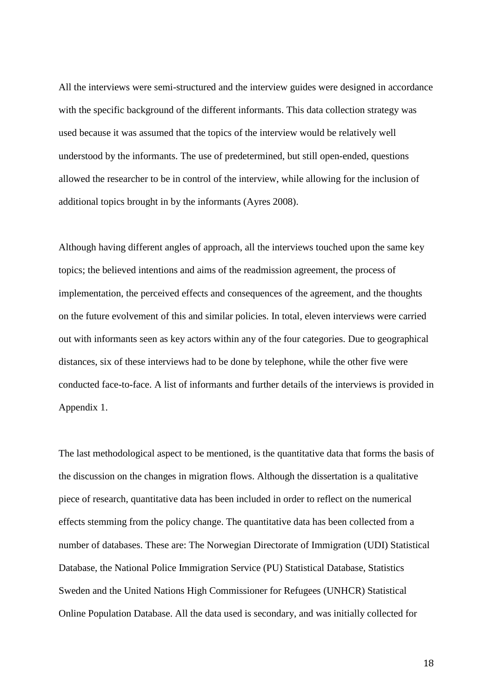All the interviews were semi-structured and the interview guides were designed in accordance with the specific background of the different informants. This data collection strategy was used because it was assumed that the topics of the interview would be relatively well understood by the informants. The use of predetermined, but still open-ended, questions allowed the researcher to be in control of the interview, while allowing for the inclusion of additional topics brought in by the informants (Ayres 2008).

Although having different angles of approach, all the interviews touched upon the same key topics; the believed intentions and aims of the readmission agreement, the process of implementation, the perceived effects and consequences of the agreement, and the thoughts on the future evolvement of this and similar policies. In total, eleven interviews were carried out with informants seen as key actors within any of the four categories. Due to geographical distances, six of these interviews had to be done by telephone, while the other five were conducted face-to-face. A list of informants and further details of the interviews is provided in Appendix 1.

The last methodological aspect to be mentioned, is the quantitative data that forms the basis of the discussion on the changes in migration flows. Although the dissertation is a qualitative piece of research, quantitative data has been included in order to reflect on the numerical effects stemming from the policy change. The quantitative data has been collected from a number of databases. These are: The Norwegian Directorate of Immigration (UDI) Statistical Database, the National Police Immigration Service (PU) Statistical Database, Statistics Sweden and the United Nations High Commissioner for Refugees (UNHCR) Statistical Online Population Database. All the data used is secondary, and was initially collected for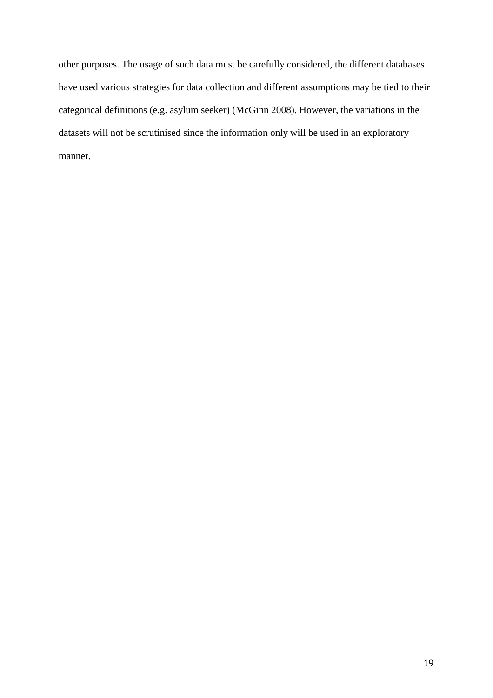other purposes. The usage of such data must be carefully considered, the different databases have used various strategies for data collection and different assumptions may be tied to their categorical definitions (e.g. asylum seeker) (McGinn 2008). However, the variations in the datasets will not be scrutinised since the information only will be used in an exploratory manner.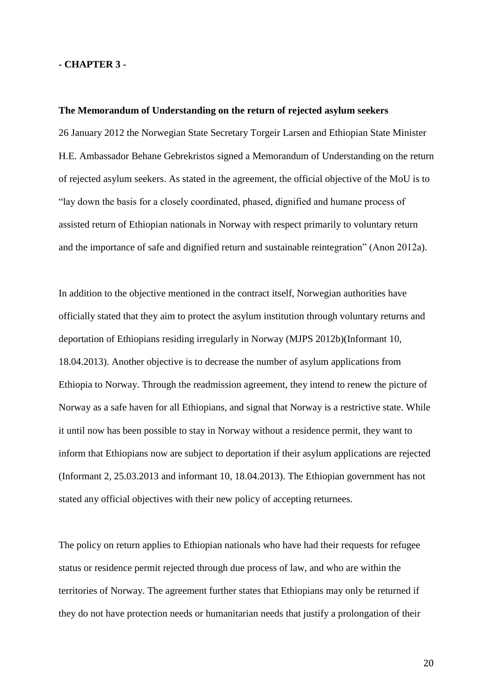## **- CHAPTER 3 -**

#### **The Memorandum of Understanding on the return of rejected asylum seekers**

26 January 2012 the Norwegian State Secretary Torgeir Larsen and Ethiopian State Minister H.E. Ambassador Behane Gebrekristos signed a Memorandum of Understanding on the return of rejected asylum seekers. As stated in the agreement, the official objective of the MoU is to "lay down the basis for a closely coordinated, phased, dignified and humane process of assisted return of Ethiopian nationals in Norway with respect primarily to voluntary return and the importance of safe and dignified return and sustainable reintegration" (Anon 2012a).

In addition to the objective mentioned in the contract itself, Norwegian authorities have officially stated that they aim to protect the asylum institution through voluntary returns and deportation of Ethiopians residing irregularly in Norway (MJPS 2012b)(Informant 10, 18.04.2013). Another objective is to decrease the number of asylum applications from Ethiopia to Norway. Through the readmission agreement, they intend to renew the picture of Norway as a safe haven for all Ethiopians, and signal that Norway is a restrictive state. While it until now has been possible to stay in Norway without a residence permit, they want to inform that Ethiopians now are subject to deportation if their asylum applications are rejected (Informant 2, 25.03.2013 and informant 10, 18.04.2013). The Ethiopian government has not stated any official objectives with their new policy of accepting returnees.

The policy on return applies to Ethiopian nationals who have had their requests for refugee status or residence permit rejected through due process of law, and who are within the territories of Norway. The agreement further states that Ethiopians may only be returned if they do not have protection needs or humanitarian needs that justify a prolongation of their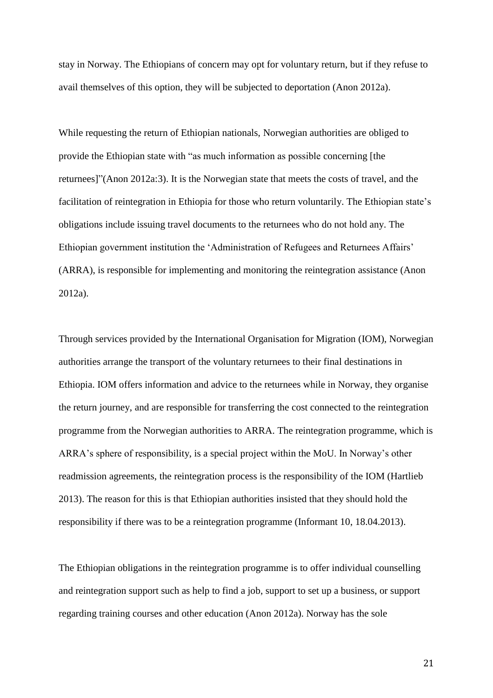stay in Norway. The Ethiopians of concern may opt for voluntary return, but if they refuse to avail themselves of this option, they will be subjected to deportation (Anon 2012a).

While requesting the return of Ethiopian nationals, Norwegian authorities are obliged to provide the Ethiopian state with "as much information as possible concerning [the returnees]"(Anon 2012a:3). It is the Norwegian state that meets the costs of travel, and the facilitation of reintegration in Ethiopia for those who return voluntarily. The Ethiopian state's obligations include issuing travel documents to the returnees who do not hold any. The Ethiopian government institution the 'Administration of Refugees and Returnees Affairs' (ARRA), is responsible for implementing and monitoring the reintegration assistance (Anon 2012a).

Through services provided by the International Organisation for Migration (IOM), Norwegian authorities arrange the transport of the voluntary returnees to their final destinations in Ethiopia. IOM offers information and advice to the returnees while in Norway, they organise the return journey, and are responsible for transferring the cost connected to the reintegration programme from the Norwegian authorities to ARRA. The reintegration programme, which is ARRA's sphere of responsibility, is a special project within the MoU. In Norway's other readmission agreements, the reintegration process is the responsibility of the IOM (Hartlieb 2013). The reason for this is that Ethiopian authorities insisted that they should hold the responsibility if there was to be a reintegration programme (Informant 10, 18.04.2013).

The Ethiopian obligations in the reintegration programme is to offer individual counselling and reintegration support such as help to find a job, support to set up a business, or support regarding training courses and other education (Anon 2012a). Norway has the sole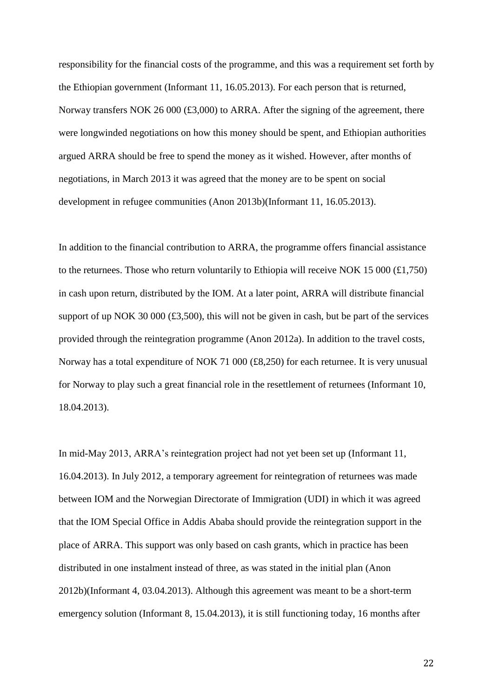responsibility for the financial costs of the programme, and this was a requirement set forth by the Ethiopian government (Informant 11, 16.05.2013). For each person that is returned, Norway transfers NOK 26 000 (£3,000) to ARRA. After the signing of the agreement, there were longwinded negotiations on how this money should be spent, and Ethiopian authorities argued ARRA should be free to spend the money as it wished. However, after months of negotiations, in March 2013 it was agreed that the money are to be spent on social development in refugee communities (Anon 2013b)(Informant 11, 16.05.2013).

In addition to the financial contribution to ARRA, the programme offers financial assistance to the returnees. Those who return voluntarily to Ethiopia will receive NOK 15 000  $(\text{\textsterling}1,750)$ in cash upon return, distributed by the IOM. At a later point, ARRA will distribute financial support of up NOK 30 000  $(\text{\textsterling}3,500)$ , this will not be given in cash, but be part of the services provided through the reintegration programme (Anon 2012a). In addition to the travel costs, Norway has a total expenditure of NOK 71 000 (£8,250) for each returnee. It is very unusual for Norway to play such a great financial role in the resettlement of returnees (Informant 10, 18.04.2013).

In mid-May 2013, ARRA's reintegration project had not yet been set up (Informant 11, 16.04.2013). In July 2012, a temporary agreement for reintegration of returnees was made between IOM and the Norwegian Directorate of Immigration (UDI) in which it was agreed that the IOM Special Office in Addis Ababa should provide the reintegration support in the place of ARRA. This support was only based on cash grants, which in practice has been distributed in one instalment instead of three, as was stated in the initial plan (Anon 2012b)(Informant 4, 03.04.2013). Although this agreement was meant to be a short-term emergency solution (Informant 8, 15.04.2013), it is still functioning today, 16 months after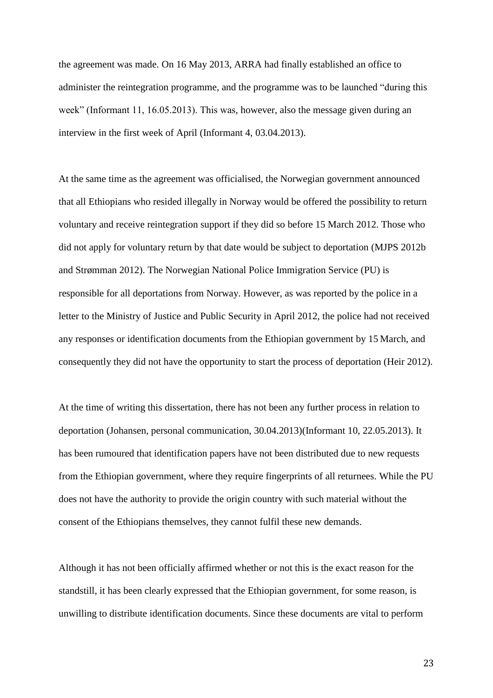the agreement was made. On 16 May 2013, ARRA had finally established an office to administer the reintegration programme, and the programme was to be launched "during this week" (Informant 11, 16.05.2013). This was, however, also the message given during an interview in the first week of April (Informant 4, 03.04.2013).

At the same time as the agreement was officialised, the Norwegian government announced that all Ethiopians who resided illegally in Norway would be offered the possibility to return voluntary and receive reintegration support if they did so before 15 March 2012. Those who did not apply for voluntary return by that date would be subject to deportation (MJPS 2012b and Strømman 2012). The Norwegian National Police Immigration Service (PU) is responsible for all deportations from Norway. However, as was reported by the police in a letter to the Ministry of Justice and Public Security in April 2012, the police had not received any responses or identification documents from the Ethiopian government by 15 March, and consequently they did not have the opportunity to start the process of deportation (Heir 2012).

At the time of writing this dissertation, there has not been any further process in relation to deportation (Johansen, personal communication, 30.04.2013)(Informant 10, 22.05.2013). It has been rumoured that identification papers have not been distributed due to new requests from the Ethiopian government, where they require fingerprints of all returnees. While the PU does not have the authority to provide the origin country with such material without the consent of the Ethiopians themselves, they cannot fulfil these new demands.

Although it has not been officially affirmed whether or not this is the exact reason for the standstill, it has been clearly expressed that the Ethiopian government, for some reason, is unwilling to distribute identification documents. Since these documents are vital to perform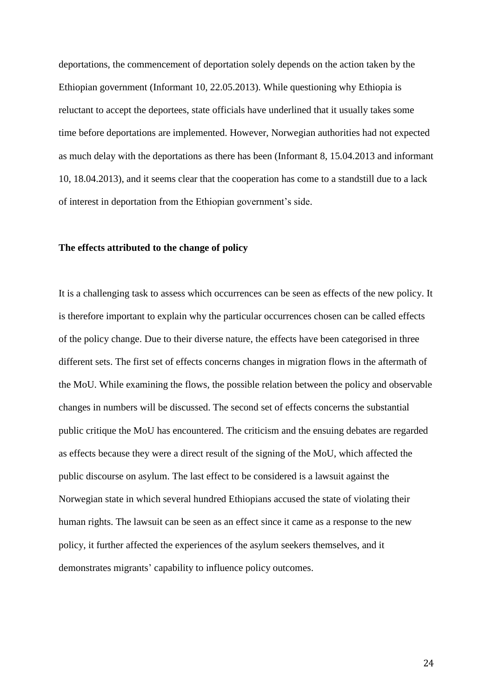deportations, the commencement of deportation solely depends on the action taken by the Ethiopian government (Informant 10, 22.05.2013). While questioning why Ethiopia is reluctant to accept the deportees, state officials have underlined that it usually takes some time before deportations are implemented. However, Norwegian authorities had not expected as much delay with the deportations as there has been (Informant 8, 15.04.2013 and informant 10, 18.04.2013), and it seems clear that the cooperation has come to a standstill due to a lack of interest in deportation from the Ethiopian government's side.

## **The effects attributed to the change of policy**

It is a challenging task to assess which occurrences can be seen as effects of the new policy. It is therefore important to explain why the particular occurrences chosen can be called effects of the policy change. Due to their diverse nature, the effects have been categorised in three different sets. The first set of effects concerns changes in migration flows in the aftermath of the MoU. While examining the flows, the possible relation between the policy and observable changes in numbers will be discussed. The second set of effects concerns the substantial public critique the MoU has encountered. The criticism and the ensuing debates are regarded as effects because they were a direct result of the signing of the MoU, which affected the public discourse on asylum. The last effect to be considered is a lawsuit against the Norwegian state in which several hundred Ethiopians accused the state of violating their human rights. The lawsuit can be seen as an effect since it came as a response to the new policy, it further affected the experiences of the asylum seekers themselves, and it demonstrates migrants' capability to influence policy outcomes.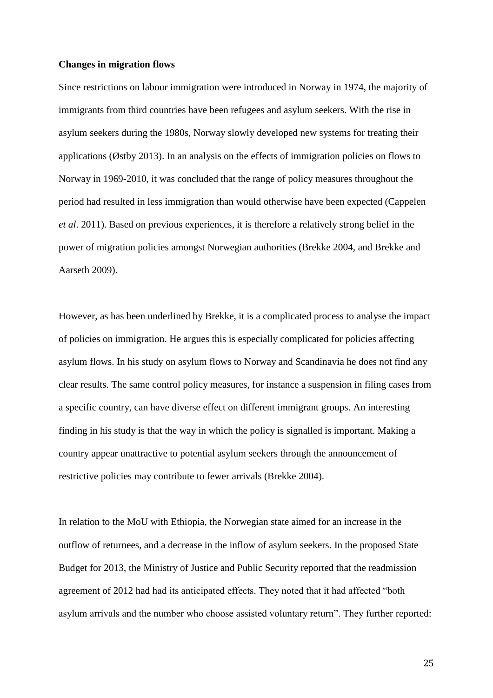### **Changes in migration flows**

Since restrictions on labour immigration were introduced in Norway in 1974, the majority of immigrants from third countries have been refugees and asylum seekers. With the rise in asylum seekers during the 1980s, Norway slowly developed new systems for treating their applications (Østby 2013). In an analysis on the effects of immigration policies on flows to Norway in 1969-2010, it was concluded that the range of policy measures throughout the period had resulted in less immigration than would otherwise have been expected (Cappelen *et al*. 2011). Based on previous experiences, it is therefore a relatively strong belief in the power of migration policies amongst Norwegian authorities (Brekke 2004, and Brekke and Aarseth 2009).

However, as has been underlined by Brekke, it is a complicated process to analyse the impact of policies on immigration. He argues this is especially complicated for policies affecting asylum flows. In his study on asylum flows to Norway and Scandinavia he does not find any clear results. The same control policy measures, for instance a suspension in filing cases from a specific country, can have diverse effect on different immigrant groups. An interesting finding in his study is that the way in which the policy is signalled is important. Making a country appear unattractive to potential asylum seekers through the announcement of restrictive policies may contribute to fewer arrivals (Brekke 2004).

In relation to the MoU with Ethiopia, the Norwegian state aimed for an increase in the outflow of returnees, and a decrease in the inflow of asylum seekers. In the proposed State Budget for 2013, the Ministry of Justice and Public Security reported that the readmission agreement of 2012 had had its anticipated effects. They noted that it had affected "both asylum arrivals and the number who choose assisted voluntary return". They further reported: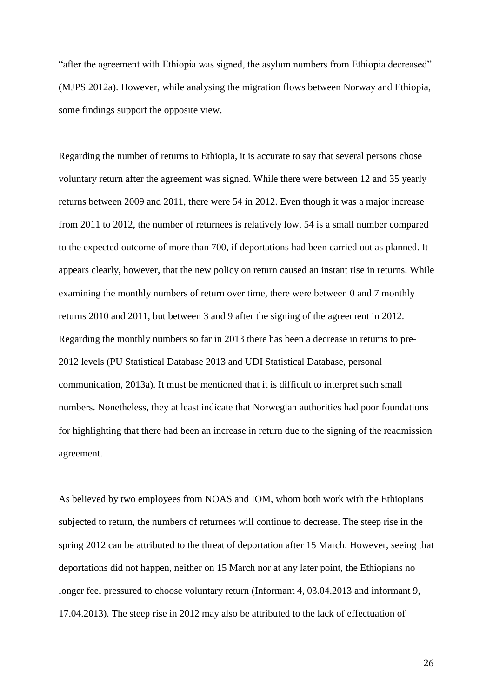"after the agreement with Ethiopia was signed, the asylum numbers from Ethiopia decreased" (MJPS 2012a). However, while analysing the migration flows between Norway and Ethiopia, some findings support the opposite view.

Regarding the number of returns to Ethiopia, it is accurate to say that several persons chose voluntary return after the agreement was signed. While there were between 12 and 35 yearly returns between 2009 and 2011, there were 54 in 2012. Even though it was a major increase from 2011 to 2012, the number of returnees is relatively low. 54 is a small number compared to the expected outcome of more than 700, if deportations had been carried out as planned. It appears clearly, however, that the new policy on return caused an instant rise in returns. While examining the monthly numbers of return over time, there were between 0 and 7 monthly returns 2010 and 2011, but between 3 and 9 after the signing of the agreement in 2012. Regarding the monthly numbers so far in 2013 there has been a decrease in returns to pre-2012 levels (PU Statistical Database 2013 and UDI Statistical Database, personal communication, 2013a). It must be mentioned that it is difficult to interpret such small numbers. Nonetheless, they at least indicate that Norwegian authorities had poor foundations for highlighting that there had been an increase in return due to the signing of the readmission agreement.

As believed by two employees from NOAS and IOM, whom both work with the Ethiopians subjected to return, the numbers of returnees will continue to decrease. The steep rise in the spring 2012 can be attributed to the threat of deportation after 15 March. However, seeing that deportations did not happen, neither on 15 March nor at any later point, the Ethiopians no longer feel pressured to choose voluntary return (Informant 4, 03.04.2013 and informant 9, 17.04.2013). The steep rise in 2012 may also be attributed to the lack of effectuation of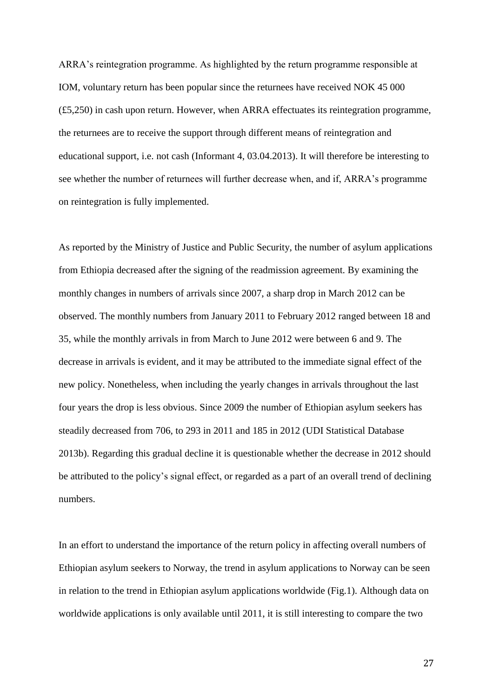ARRA's reintegration programme. As highlighted by the return programme responsible at IOM, voluntary return has been popular since the returnees have received NOK 45 000 (£5,250) in cash upon return. However, when ARRA effectuates its reintegration programme, the returnees are to receive the support through different means of reintegration and educational support, i.e. not cash (Informant 4, 03.04.2013). It will therefore be interesting to see whether the number of returnees will further decrease when, and if, ARRA's programme on reintegration is fully implemented.

As reported by the Ministry of Justice and Public Security, the number of asylum applications from Ethiopia decreased after the signing of the readmission agreement. By examining the monthly changes in numbers of arrivals since 2007, a sharp drop in March 2012 can be observed. The monthly numbers from January 2011 to February 2012 ranged between 18 and 35, while the monthly arrivals in from March to June 2012 were between 6 and 9. The decrease in arrivals is evident, and it may be attributed to the immediate signal effect of the new policy. Nonetheless, when including the yearly changes in arrivals throughout the last four years the drop is less obvious. Since 2009 the number of Ethiopian asylum seekers has steadily decreased from 706, to 293 in 2011 and 185 in 2012 (UDI Statistical Database 2013b). Regarding this gradual decline it is questionable whether the decrease in 2012 should be attributed to the policy's signal effect, or regarded as a part of an overall trend of declining numbers.

In an effort to understand the importance of the return policy in affecting overall numbers of Ethiopian asylum seekers to Norway, the trend in asylum applications to Norway can be seen in relation to the trend in Ethiopian asylum applications worldwide (Fig.1). Although data on worldwide applications is only available until 2011, it is still interesting to compare the two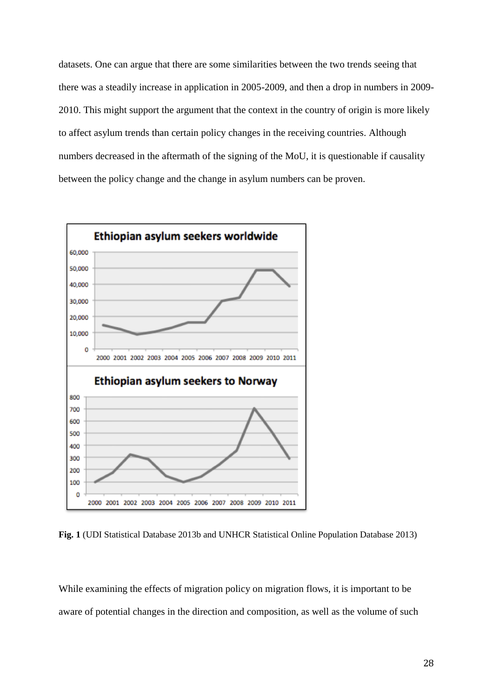datasets. One can argue that there are some similarities between the two trends seeing that there was a steadily increase in application in 2005-2009, and then a drop in numbers in 2009- 2010. This might support the argument that the context in the country of origin is more likely to affect asylum trends than certain policy changes in the receiving countries. Although numbers decreased in the aftermath of the signing of the MoU, it is questionable if causality between the policy change and the change in asylum numbers can be proven.



**Fig. 1** (UDI Statistical Database 2013b and UNHCR Statistical Online Population Database 2013)

While examining the effects of migration policy on migration flows, it is important to be aware of potential changes in the direction and composition, as well as the volume of such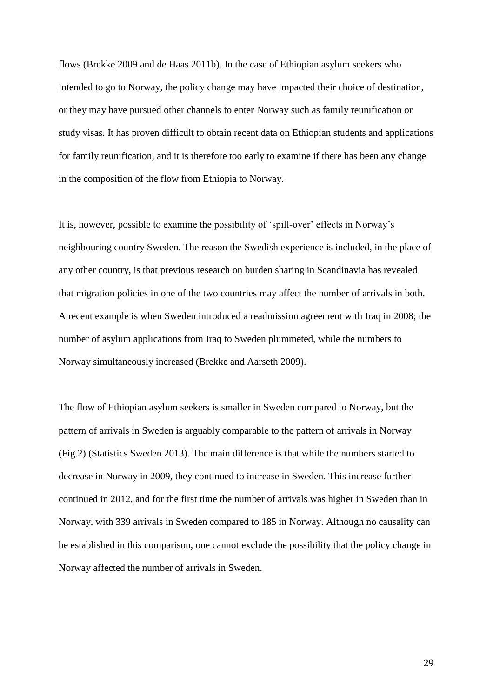flows (Brekke 2009 and de Haas 2011b). In the case of Ethiopian asylum seekers who intended to go to Norway, the policy change may have impacted their choice of destination, or they may have pursued other channels to enter Norway such as family reunification or study visas. It has proven difficult to obtain recent data on Ethiopian students and applications for family reunification, and it is therefore too early to examine if there has been any change in the composition of the flow from Ethiopia to Norway.

It is, however, possible to examine the possibility of 'spill-over' effects in Norway's neighbouring country Sweden. The reason the Swedish experience is included, in the place of any other country, is that previous research on burden sharing in Scandinavia has revealed that migration policies in one of the two countries may affect the number of arrivals in both. A recent example is when Sweden introduced a readmission agreement with Iraq in 2008; the number of asylum applications from Iraq to Sweden plummeted, while the numbers to Norway simultaneously increased (Brekke and Aarseth 2009).

The flow of Ethiopian asylum seekers is smaller in Sweden compared to Norway, but the pattern of arrivals in Sweden is arguably comparable to the pattern of arrivals in Norway (Fig.2) (Statistics Sweden 2013). The main difference is that while the numbers started to decrease in Norway in 2009, they continued to increase in Sweden. This increase further continued in 2012, and for the first time the number of arrivals was higher in Sweden than in Norway, with 339 arrivals in Sweden compared to 185 in Norway. Although no causality can be established in this comparison, one cannot exclude the possibility that the policy change in Norway affected the number of arrivals in Sweden.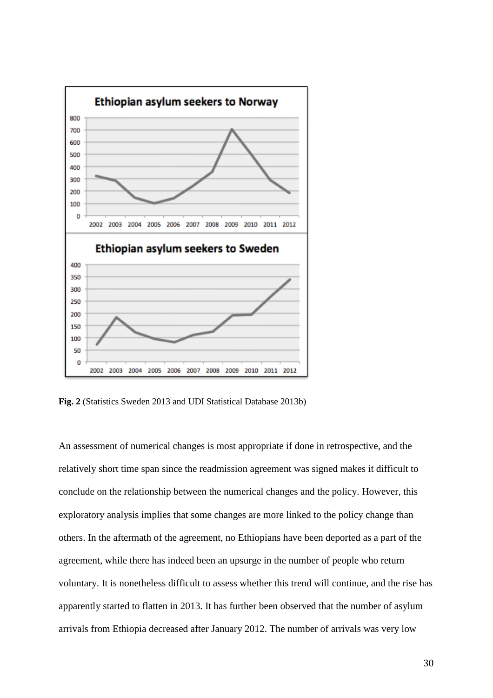

**Fig. 2** (Statistics Sweden 2013 and UDI Statistical Database 2013b)

An assessment of numerical changes is most appropriate if done in retrospective, and the relatively short time span since the readmission agreement was signed makes it difficult to conclude on the relationship between the numerical changes and the policy. However, this exploratory analysis implies that some changes are more linked to the policy change than others. In the aftermath of the agreement, no Ethiopians have been deported as a part of the agreement, while there has indeed been an upsurge in the number of people who return voluntary. It is nonetheless difficult to assess whether this trend will continue, and the rise has apparently started to flatten in 2013. It has further been observed that the number of asylum arrivals from Ethiopia decreased after January 2012. The number of arrivals was very low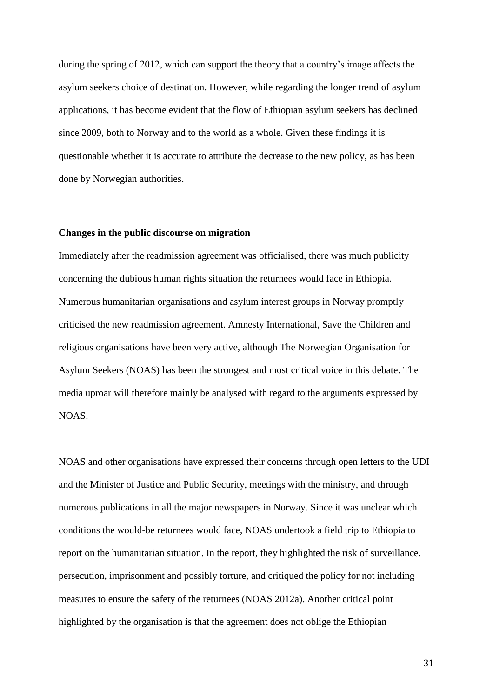during the spring of 2012, which can support the theory that a country's image affects the asylum seekers choice of destination. However, while regarding the longer trend of asylum applications, it has become evident that the flow of Ethiopian asylum seekers has declined since 2009, both to Norway and to the world as a whole. Given these findings it is questionable whether it is accurate to attribute the decrease to the new policy, as has been done by Norwegian authorities.

## **Changes in the public discourse on migration**

Immediately after the readmission agreement was officialised, there was much publicity concerning the dubious human rights situation the returnees would face in Ethiopia. Numerous humanitarian organisations and asylum interest groups in Norway promptly criticised the new readmission agreement. Amnesty International, Save the Children and religious organisations have been very active, although The Norwegian Organisation for Asylum Seekers (NOAS) has been the strongest and most critical voice in this debate. The media uproar will therefore mainly be analysed with regard to the arguments expressed by NOAS.

NOAS and other organisations have expressed their concerns through open letters to the UDI and the Minister of Justice and Public Security, meetings with the ministry, and through numerous publications in all the major newspapers in Norway. Since it was unclear which conditions the would-be returnees would face, NOAS undertook a field trip to Ethiopia to report on the humanitarian situation. In the report, they highlighted the risk of surveillance, persecution, imprisonment and possibly torture, and critiqued the policy for not including measures to ensure the safety of the returnees (NOAS 2012a). Another critical point highlighted by the organisation is that the agreement does not oblige the Ethiopian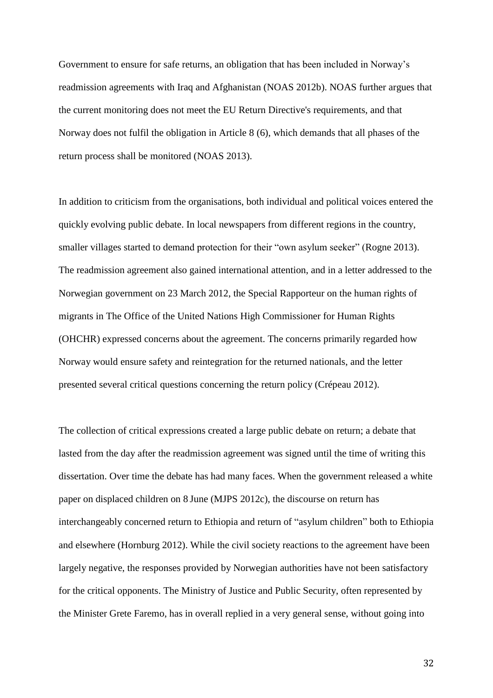Government to ensure for safe returns, an obligation that has been included in Norway's readmission agreements with Iraq and Afghanistan (NOAS 2012b). NOAS further argues that the current monitoring does not meet the EU Return Directive's requirements, and that Norway does not fulfil the obligation in Article 8 (6), which demands that all phases of the return process shall be monitored (NOAS 2013).

In addition to criticism from the organisations, both individual and political voices entered the quickly evolving public debate. In local newspapers from different regions in the country, smaller villages started to demand protection for their "own asylum seeker" (Rogne 2013). The readmission agreement also gained international attention, and in a letter addressed to the Norwegian government on 23 March 2012, the Special Rapporteur on the human rights of migrants in The Office of the United Nations High Commissioner for Human Rights (OHCHR) expressed concerns about the agreement. The concerns primarily regarded how Norway would ensure safety and reintegration for the returned nationals, and the letter presented several critical questions concerning the return policy (Crépeau 2012).

The collection of critical expressions created a large public debate on return; a debate that lasted from the day after the readmission agreement was signed until the time of writing this dissertation. Over time the debate has had many faces. When the government released a white paper on displaced children on 8 June (MJPS 2012c), the discourse on return has interchangeably concerned return to Ethiopia and return of "asylum children" both to Ethiopia and elsewhere (Hornburg 2012). While the civil society reactions to the agreement have been largely negative, the responses provided by Norwegian authorities have not been satisfactory for the critical opponents. The Ministry of Justice and Public Security, often represented by the Minister Grete Faremo, has in overall replied in a very general sense, without going into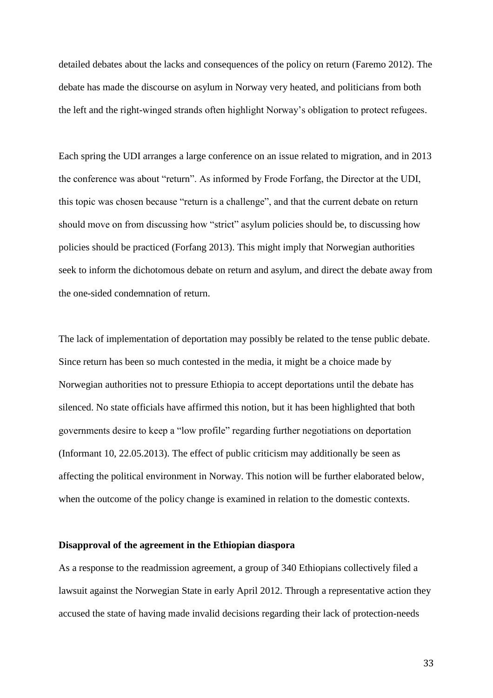detailed debates about the lacks and consequences of the policy on return (Faremo 2012). The debate has made the discourse on asylum in Norway very heated, and politicians from both the left and the right-winged strands often highlight Norway's obligation to protect refugees.

Each spring the UDI arranges a large conference on an issue related to migration, and in 2013 the conference was about "return". As informed by Frode Forfang, the Director at the UDI, this topic was chosen because "return is a challenge", and that the current debate on return should move on from discussing how "strict" asylum policies should be, to discussing how policies should be practiced (Forfang 2013). This might imply that Norwegian authorities seek to inform the dichotomous debate on return and asylum, and direct the debate away from the one-sided condemnation of return.

The lack of implementation of deportation may possibly be related to the tense public debate. Since return has been so much contested in the media, it might be a choice made by Norwegian authorities not to pressure Ethiopia to accept deportations until the debate has silenced. No state officials have affirmed this notion, but it has been highlighted that both governments desire to keep a "low profile" regarding further negotiations on deportation (Informant 10, 22.05.2013). The effect of public criticism may additionally be seen as affecting the political environment in Norway. This notion will be further elaborated below, when the outcome of the policy change is examined in relation to the domestic contexts.

## **Disapproval of the agreement in the Ethiopian diaspora**

As a response to the readmission agreement, a group of 340 Ethiopians collectively filed a lawsuit against the Norwegian State in early April 2012. Through a representative action they accused the state of having made invalid decisions regarding their lack of protection-needs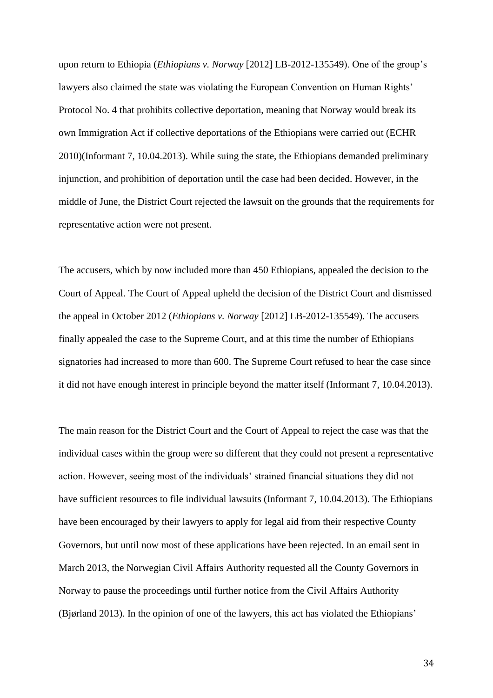upon return to Ethiopia (*Ethiopians v. Norway* [2012] LB-2012-135549). One of the group's lawyers also claimed the state was violating the European Convention on Human Rights' Protocol No. 4 that prohibits collective deportation, meaning that Norway would break its own Immigration Act if collective deportations of the Ethiopians were carried out (ECHR 2010)(Informant 7, 10.04.2013). While suing the state, the Ethiopians demanded preliminary injunction, and prohibition of deportation until the case had been decided. However, in the middle of June, the District Court rejected the lawsuit on the grounds that the requirements for representative action were not present.

The accusers, which by now included more than 450 Ethiopians, appealed the decision to the Court of Appeal. The Court of Appeal upheld the decision of the District Court and dismissed the appeal in October 2012 (*Ethiopians v. Norway* [2012] LB-2012-135549). The accusers finally appealed the case to the Supreme Court, and at this time the number of Ethiopians signatories had increased to more than 600. The Supreme Court refused to hear the case since it did not have enough interest in principle beyond the matter itself (Informant 7, 10.04.2013).

The main reason for the District Court and the Court of Appeal to reject the case was that the individual cases within the group were so different that they could not present a representative action. However, seeing most of the individuals' strained financial situations they did not have sufficient resources to file individual lawsuits (Informant 7, 10.04.2013). The Ethiopians have been encouraged by their lawyers to apply for legal aid from their respective County Governors, but until now most of these applications have been rejected. In an email sent in March 2013, the Norwegian Civil Affairs Authority requested all the County Governors in Norway to pause the proceedings until further notice from the Civil Affairs Authority (Bjørland 2013). In the opinion of one of the lawyers, this act has violated the Ethiopians'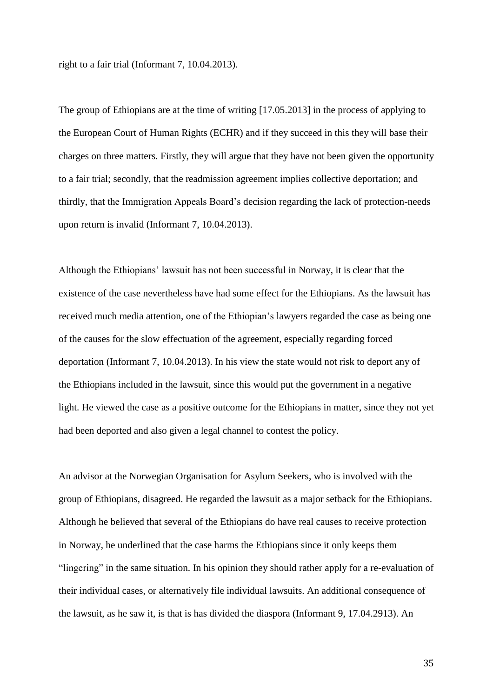right to a fair trial (Informant 7, 10.04.2013).

The group of Ethiopians are at the time of writing [17.05.2013] in the process of applying to the European Court of Human Rights (ECHR) and if they succeed in this they will base their charges on three matters. Firstly, they will argue that they have not been given the opportunity to a fair trial; secondly, that the readmission agreement implies collective deportation; and thirdly, that the Immigration Appeals Board's decision regarding the lack of protection-needs upon return is invalid (Informant 7, 10.04.2013).

Although the Ethiopians' lawsuit has not been successful in Norway, it is clear that the existence of the case nevertheless have had some effect for the Ethiopians. As the lawsuit has received much media attention, one of the Ethiopian's lawyers regarded the case as being one of the causes for the slow effectuation of the agreement, especially regarding forced deportation (Informant 7, 10.04.2013). In his view the state would not risk to deport any of the Ethiopians included in the lawsuit, since this would put the government in a negative light. He viewed the case as a positive outcome for the Ethiopians in matter, since they not yet had been deported and also given a legal channel to contest the policy.

An advisor at the Norwegian Organisation for Asylum Seekers, who is involved with the group of Ethiopians, disagreed. He regarded the lawsuit as a major setback for the Ethiopians. Although he believed that several of the Ethiopians do have real causes to receive protection in Norway, he underlined that the case harms the Ethiopians since it only keeps them "lingering" in the same situation. In his opinion they should rather apply for a re-evaluation of their individual cases, or alternatively file individual lawsuits. An additional consequence of the lawsuit, as he saw it, is that is has divided the diaspora (Informant 9, 17.04.2913). An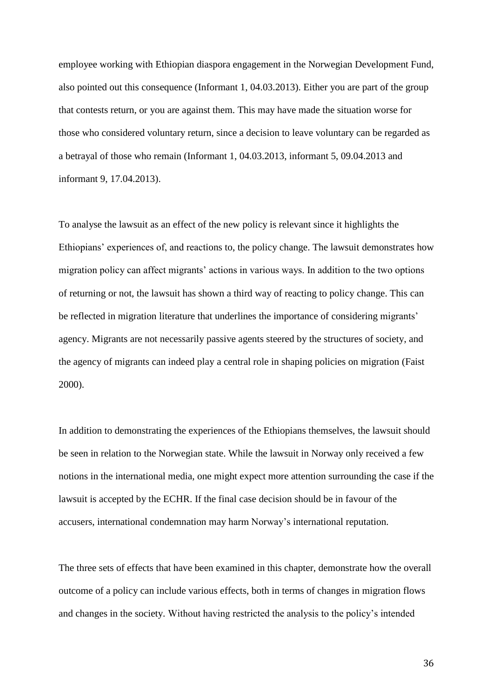employee working with Ethiopian diaspora engagement in the Norwegian Development Fund, also pointed out this consequence (Informant 1, 04.03.2013). Either you are part of the group that contests return, or you are against them. This may have made the situation worse for those who considered voluntary return, since a decision to leave voluntary can be regarded as a betrayal of those who remain (Informant 1, 04.03.2013, informant 5, 09.04.2013 and informant 9, 17.04.2013).

To analyse the lawsuit as an effect of the new policy is relevant since it highlights the Ethiopians' experiences of, and reactions to, the policy change. The lawsuit demonstrates how migration policy can affect migrants' actions in various ways. In addition to the two options of returning or not, the lawsuit has shown a third way of reacting to policy change. This can be reflected in migration literature that underlines the importance of considering migrants' agency. Migrants are not necessarily passive agents steered by the structures of society, and the agency of migrants can indeed play a central role in shaping policies on migration (Faist 2000).

In addition to demonstrating the experiences of the Ethiopians themselves, the lawsuit should be seen in relation to the Norwegian state. While the lawsuit in Norway only received a few notions in the international media, one might expect more attention surrounding the case if the lawsuit is accepted by the ECHR. If the final case decision should be in favour of the accusers, international condemnation may harm Norway's international reputation.

The three sets of effects that have been examined in this chapter, demonstrate how the overall outcome of a policy can include various effects, both in terms of changes in migration flows and changes in the society. Without having restricted the analysis to the policy's intended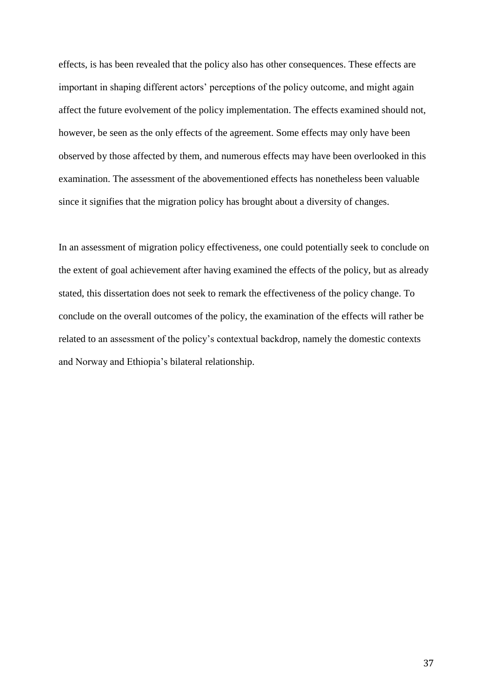effects, is has been revealed that the policy also has other consequences. These effects are important in shaping different actors' perceptions of the policy outcome, and might again affect the future evolvement of the policy implementation. The effects examined should not, however, be seen as the only effects of the agreement. Some effects may only have been observed by those affected by them, and numerous effects may have been overlooked in this examination. The assessment of the abovementioned effects has nonetheless been valuable since it signifies that the migration policy has brought about a diversity of changes.

In an assessment of migration policy effectiveness, one could potentially seek to conclude on the extent of goal achievement after having examined the effects of the policy, but as already stated, this dissertation does not seek to remark the effectiveness of the policy change. To conclude on the overall outcomes of the policy, the examination of the effects will rather be related to an assessment of the policy's contextual backdrop, namely the domestic contexts and Norway and Ethiopia's bilateral relationship.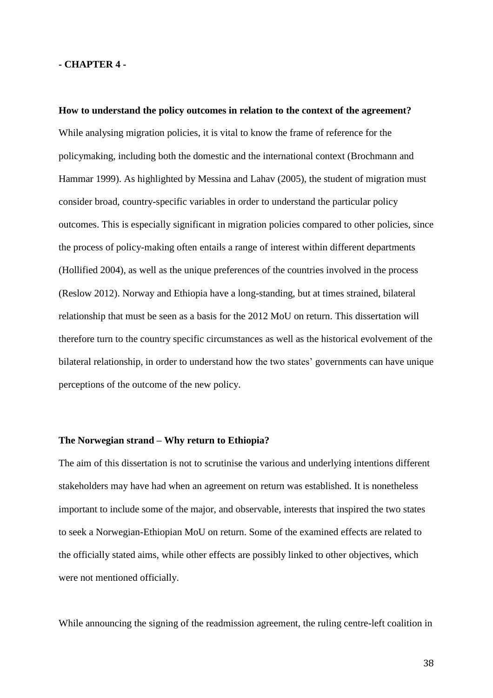### **- CHAPTER 4 -**

**How to understand the policy outcomes in relation to the context of the agreement?** While analysing migration policies, it is vital to know the frame of reference for the policymaking, including both the domestic and the international context (Brochmann and Hammar 1999). As highlighted by Messina and Lahav (2005), the student of migration must consider broad, country-specific variables in order to understand the particular policy outcomes. This is especially significant in migration policies compared to other policies, since the process of policy-making often entails a range of interest within different departments (Hollified 2004), as well as the unique preferences of the countries involved in the process (Reslow 2012). Norway and Ethiopia have a long-standing, but at times strained, bilateral relationship that must be seen as a basis for the 2012 MoU on return. This dissertation will therefore turn to the country specific circumstances as well as the historical evolvement of the bilateral relationship, in order to understand how the two states' governments can have unique perceptions of the outcome of the new policy.

### **The Norwegian strand – Why return to Ethiopia?**

The aim of this dissertation is not to scrutinise the various and underlying intentions different stakeholders may have had when an agreement on return was established. It is nonetheless important to include some of the major, and observable, interests that inspired the two states to seek a Norwegian-Ethiopian MoU on return. Some of the examined effects are related to the officially stated aims, while other effects are possibly linked to other objectives, which were not mentioned officially.

While announcing the signing of the readmission agreement, the ruling centre-left coalition in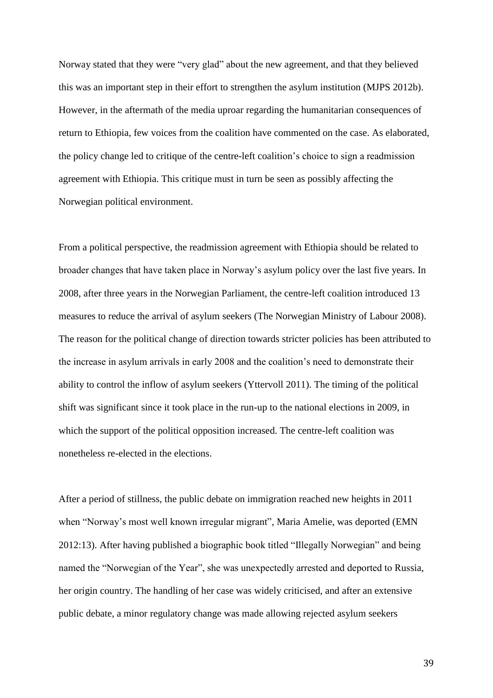Norway stated that they were "very glad" about the new agreement, and that they believed this was an important step in their effort to strengthen the asylum institution (MJPS 2012b). However, in the aftermath of the media uproar regarding the humanitarian consequences of return to Ethiopia, few voices from the coalition have commented on the case. As elaborated, the policy change led to critique of the centre-left coalition's choice to sign a readmission agreement with Ethiopia. This critique must in turn be seen as possibly affecting the Norwegian political environment.

From a political perspective, the readmission agreement with Ethiopia should be related to broader changes that have taken place in Norway's asylum policy over the last five years. In 2008, after three years in the Norwegian Parliament, the centre-left coalition introduced 13 measures to reduce the arrival of asylum seekers (The Norwegian Ministry of Labour 2008). The reason for the political change of direction towards stricter policies has been attributed to the increase in asylum arrivals in early 2008 and the coalition's need to demonstrate their ability to control the inflow of asylum seekers (Yttervoll 2011). The timing of the political shift was significant since it took place in the run-up to the national elections in 2009, in which the support of the political opposition increased. The centre-left coalition was nonetheless re-elected in the elections.

After a period of stillness, the public debate on immigration reached new heights in 2011 when "Norway's most well known irregular migrant", Maria Amelie, was deported (EMN 2012:13). After having published a biographic book titled "Illegally Norwegian" and being named the "Norwegian of the Year", she was unexpectedly arrested and deported to Russia, her origin country. The handling of her case was widely criticised, and after an extensive public debate, a minor regulatory change was made allowing rejected asylum seekers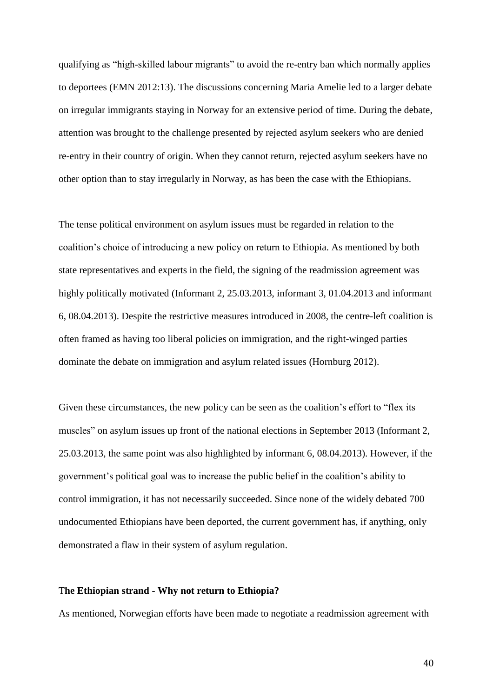qualifying as "high-skilled labour migrants" to avoid the re-entry ban which normally applies to deportees (EMN 2012:13). The discussions concerning Maria Amelie led to a larger debate on irregular immigrants staying in Norway for an extensive period of time. During the debate, attention was brought to the challenge presented by rejected asylum seekers who are denied re-entry in their country of origin. When they cannot return, rejected asylum seekers have no other option than to stay irregularly in Norway, as has been the case with the Ethiopians.

The tense political environment on asylum issues must be regarded in relation to the coalition's choice of introducing a new policy on return to Ethiopia. As mentioned by both state representatives and experts in the field, the signing of the readmission agreement was highly politically motivated (Informant 2, 25.03.2013, informant 3, 01.04.2013 and informant 6, 08.04.2013). Despite the restrictive measures introduced in 2008, the centre-left coalition is often framed as having too liberal policies on immigration, and the right-winged parties dominate the debate on immigration and asylum related issues (Hornburg 2012).

Given these circumstances, the new policy can be seen as the coalition's effort to "flex its muscles" on asylum issues up front of the national elections in September 2013 (Informant 2, 25.03.2013, the same point was also highlighted by informant 6, 08.04.2013). However, if the government's political goal was to increase the public belief in the coalition's ability to control immigration, it has not necessarily succeeded. Since none of the widely debated 700 undocumented Ethiopians have been deported, the current government has, if anything, only demonstrated a flaw in their system of asylum regulation.

### T**he Ethiopian strand - Why not return to Ethiopia?**

As mentioned, Norwegian efforts have been made to negotiate a readmission agreement with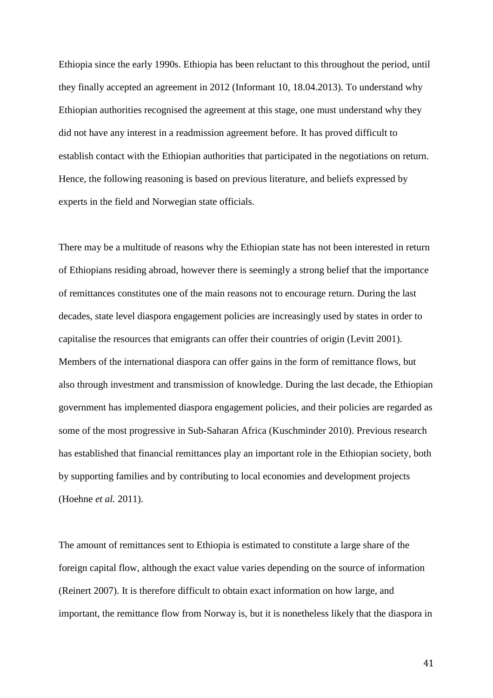Ethiopia since the early 1990s. Ethiopia has been reluctant to this throughout the period, until they finally accepted an agreement in 2012 (Informant 10, 18.04.2013). To understand why Ethiopian authorities recognised the agreement at this stage, one must understand why they did not have any interest in a readmission agreement before. It has proved difficult to establish contact with the Ethiopian authorities that participated in the negotiations on return. Hence, the following reasoning is based on previous literature, and beliefs expressed by experts in the field and Norwegian state officials.

There may be a multitude of reasons why the Ethiopian state has not been interested in return of Ethiopians residing abroad, however there is seemingly a strong belief that the importance of remittances constitutes one of the main reasons not to encourage return. During the last decades, state level diaspora engagement policies are increasingly used by states in order to capitalise the resources that emigrants can offer their countries of origin (Levitt 2001). Members of the international diaspora can offer gains in the form of remittance flows, but also through investment and transmission of knowledge. During the last decade, the Ethiopian government has implemented diaspora engagement policies, and their policies are regarded as some of the most progressive in Sub-Saharan Africa (Kuschminder 2010). Previous research has established that financial remittances play an important role in the Ethiopian society, both by supporting families and by contributing to local economies and development projects (Hoehne *et al.* 2011).

The amount of remittances sent to Ethiopia is estimated to constitute a large share of the foreign capital flow, although the exact value varies depending on the source of information (Reinert 2007). It is therefore difficult to obtain exact information on how large, and important, the remittance flow from Norway is, but it is nonetheless likely that the diaspora in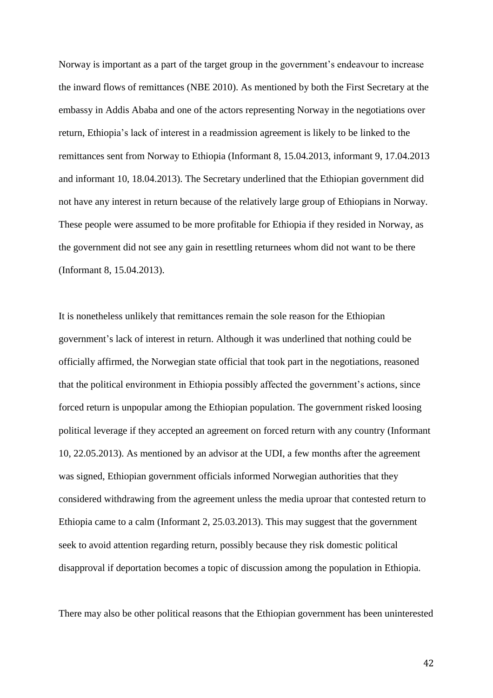Norway is important as a part of the target group in the government's endeavour to increase the inward flows of remittances (NBE 2010). As mentioned by both the First Secretary at the embassy in Addis Ababa and one of the actors representing Norway in the negotiations over return, Ethiopia's lack of interest in a readmission agreement is likely to be linked to the remittances sent from Norway to Ethiopia (Informant 8, 15.04.2013, informant 9, 17.04.2013 and informant 10, 18.04.2013). The Secretary underlined that the Ethiopian government did not have any interest in return because of the relatively large group of Ethiopians in Norway. These people were assumed to be more profitable for Ethiopia if they resided in Norway, as the government did not see any gain in resettling returnees whom did not want to be there (Informant 8, 15.04.2013).

It is nonetheless unlikely that remittances remain the sole reason for the Ethiopian government's lack of interest in return. Although it was underlined that nothing could be officially affirmed, the Norwegian state official that took part in the negotiations, reasoned that the political environment in Ethiopia possibly affected the government's actions, since forced return is unpopular among the Ethiopian population. The government risked loosing political leverage if they accepted an agreement on forced return with any country (Informant 10, 22.05.2013). As mentioned by an advisor at the UDI, a few months after the agreement was signed, Ethiopian government officials informed Norwegian authorities that they considered withdrawing from the agreement unless the media uproar that contested return to Ethiopia came to a calm (Informant 2, 25.03.2013). This may suggest that the government seek to avoid attention regarding return, possibly because they risk domestic political disapproval if deportation becomes a topic of discussion among the population in Ethiopia.

There may also be other political reasons that the Ethiopian government has been uninterested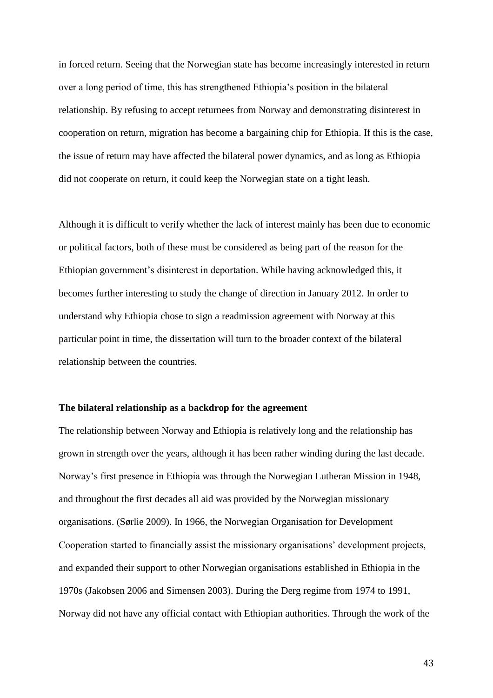in forced return. Seeing that the Norwegian state has become increasingly interested in return over a long period of time, this has strengthened Ethiopia's position in the bilateral relationship. By refusing to accept returnees from Norway and demonstrating disinterest in cooperation on return, migration has become a bargaining chip for Ethiopia. If this is the case, the issue of return may have affected the bilateral power dynamics, and as long as Ethiopia did not cooperate on return, it could keep the Norwegian state on a tight leash.

Although it is difficult to verify whether the lack of interest mainly has been due to economic or political factors, both of these must be considered as being part of the reason for the Ethiopian government's disinterest in deportation. While having acknowledged this, it becomes further interesting to study the change of direction in January 2012. In order to understand why Ethiopia chose to sign a readmission agreement with Norway at this particular point in time, the dissertation will turn to the broader context of the bilateral relationship between the countries*.*

### **The bilateral relationship as a backdrop for the agreement**

The relationship between Norway and Ethiopia is relatively long and the relationship has grown in strength over the years, although it has been rather winding during the last decade. Norway's first presence in Ethiopia was through the Norwegian Lutheran Mission in 1948, and throughout the first decades all aid was provided by the Norwegian missionary organisations. (Sørlie 2009). In 1966, the Norwegian Organisation for Development Cooperation started to financially assist the missionary organisations' development projects, and expanded their support to other Norwegian organisations established in Ethiopia in the 1970s (Jakobsen 2006 and Simensen 2003). During the Derg regime from 1974 to 1991, Norway did not have any official contact with Ethiopian authorities. Through the work of the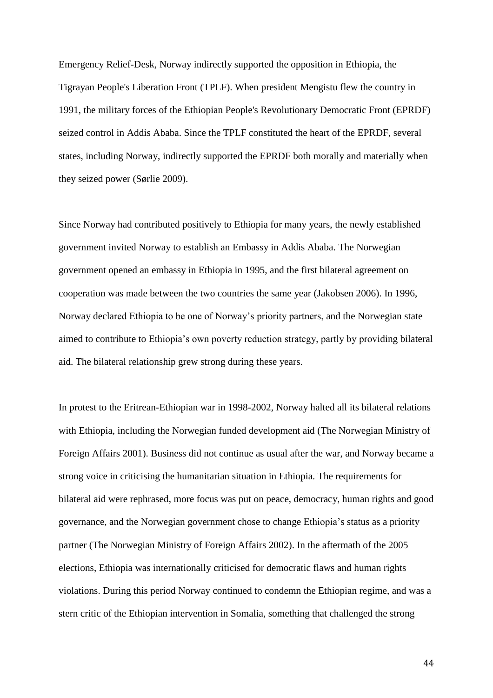Emergency Relief-Desk, Norway indirectly supported the opposition in Ethiopia, the Tigrayan People's Liberation Front (TPLF). When president Mengistu flew the country in 1991, the military forces of the Ethiopian People's Revolutionary Democratic Front (EPRDF) seized control in Addis Ababa. Since the TPLF constituted the heart of the EPRDF, several states, including Norway, indirectly supported the EPRDF both morally and materially when they seized power (Sørlie 2009).

Since Norway had contributed positively to Ethiopia for many years, the newly established government invited Norway to establish an Embassy in Addis Ababa. The Norwegian government opened an embassy in Ethiopia in 1995, and the first bilateral agreement on cooperation was made between the two countries the same year (Jakobsen 2006). In 1996, Norway declared Ethiopia to be one of Norway's priority partners, and the Norwegian state aimed to contribute to Ethiopia's own poverty reduction strategy, partly by providing bilateral aid. The bilateral relationship grew strong during these years.

In protest to the Eritrean-Ethiopian war in 1998-2002, Norway halted all its bilateral relations with Ethiopia, including the Norwegian funded development aid (The Norwegian Ministry of Foreign Affairs 2001). Business did not continue as usual after the war, and Norway became a strong voice in criticising the humanitarian situation in Ethiopia. The requirements for bilateral aid were rephrased, more focus was put on peace, democracy, human rights and good governance, and the Norwegian government chose to change Ethiopia's status as a priority partner (The Norwegian Ministry of Foreign Affairs 2002). In the aftermath of the 2005 elections, Ethiopia was internationally criticised for democratic flaws and human rights violations. During this period Norway continued to condemn the Ethiopian regime, and was a stern critic of the Ethiopian intervention in Somalia, something that challenged the strong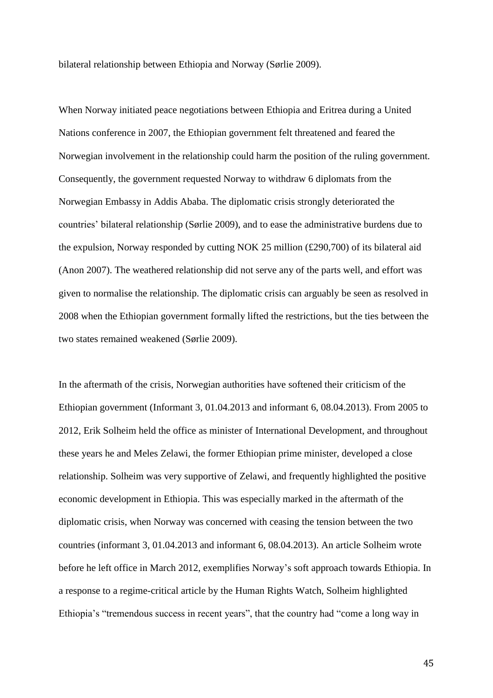bilateral relationship between Ethiopia and Norway (Sørlie 2009).

When Norway initiated peace negotiations between Ethiopia and Eritrea during a United Nations conference in 2007, the Ethiopian government felt threatened and feared the Norwegian involvement in the relationship could harm the position of the ruling government. Consequently, the government requested Norway to withdraw 6 diplomats from the Norwegian Embassy in Addis Ababa. The diplomatic crisis strongly deteriorated the countries' bilateral relationship (Sørlie 2009), and to ease the administrative burdens due to the expulsion, Norway responded by cutting NOK 25 million (£290,700) of its bilateral aid (Anon 2007). The weathered relationship did not serve any of the parts well, and effort was given to normalise the relationship. The diplomatic crisis can arguably be seen as resolved in 2008 when the Ethiopian government formally lifted the restrictions, but the ties between the two states remained weakened (Sørlie 2009).

In the aftermath of the crisis, Norwegian authorities have softened their criticism of the Ethiopian government (Informant 3, 01.04.2013 and informant 6, 08.04.2013). From 2005 to 2012, Erik Solheim held the office as minister of International Development, and throughout these years he and Meles Zelawi, the former Ethiopian prime minister, developed a close relationship. Solheim was very supportive of Zelawi, and frequently highlighted the positive economic development in Ethiopia. This was especially marked in the aftermath of the diplomatic crisis, when Norway was concerned with ceasing the tension between the two countries (informant 3, 01.04.2013 and informant 6, 08.04.2013). An article Solheim wrote before he left office in March 2012, exemplifies Norway's soft approach towards Ethiopia. In a response to a regime-critical article by the Human Rights Watch, Solheim highlighted Ethiopia's "tremendous success in recent years", that the country had "come a long way in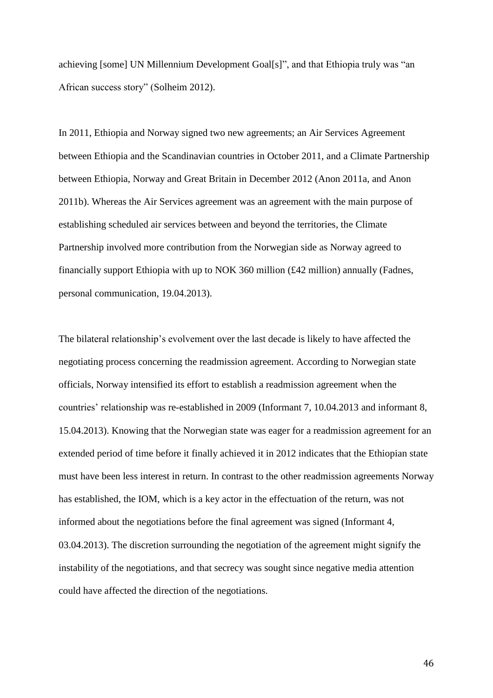achieving [some] UN Millennium Development Goal[s]", and that Ethiopia truly was "an African success story" (Solheim 2012).

In 2011, Ethiopia and Norway signed two new agreements; an Air Services Agreement between Ethiopia and the Scandinavian countries in October 2011, and a Climate Partnership between Ethiopia, Norway and Great Britain in December 2012 (Anon 2011a, and Anon 2011b). Whereas the Air Services agreement was an agreement with the main purpose of establishing scheduled air services between and beyond the territories, the Climate Partnership involved more contribution from the Norwegian side as Norway agreed to financially support Ethiopia with up to NOK 360 million (£42 million) annually (Fadnes, personal communication, 19.04.2013).

The bilateral relationship's evolvement over the last decade is likely to have affected the negotiating process concerning the readmission agreement. According to Norwegian state officials, Norway intensified its effort to establish a readmission agreement when the countries' relationship was re-established in 2009 (Informant 7, 10.04.2013 and informant 8, 15.04.2013). Knowing that the Norwegian state was eager for a readmission agreement for an extended period of time before it finally achieved it in 2012 indicates that the Ethiopian state must have been less interest in return. In contrast to the other readmission agreements Norway has established, the IOM, which is a key actor in the effectuation of the return, was not informed about the negotiations before the final agreement was signed (Informant 4, 03.04.2013). The discretion surrounding the negotiation of the agreement might signify the instability of the negotiations, and that secrecy was sought since negative media attention could have affected the direction of the negotiations.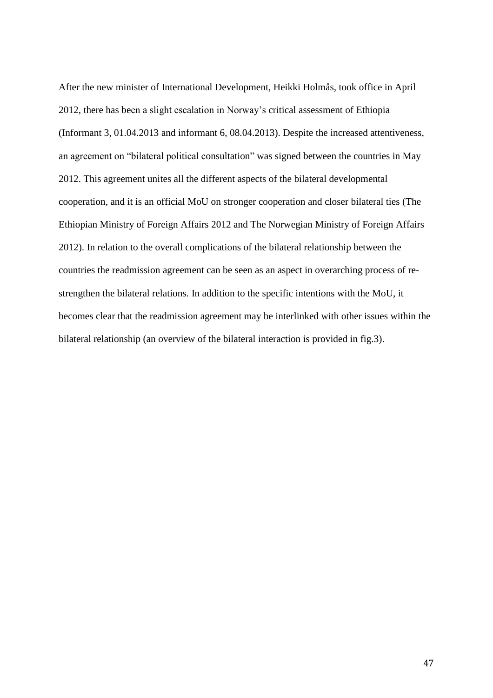After the new minister of International Development, Heikki Holmås, took office in April 2012, there has been a slight escalation in Norway's critical assessment of Ethiopia (Informant 3, 01.04.2013 and informant 6, 08.04.2013). Despite the increased attentiveness, an agreement on "bilateral political consultation" was signed between the countries in May 2012. This agreement unites all the different aspects of the bilateral developmental cooperation, and it is an official MoU on stronger cooperation and closer bilateral ties (The Ethiopian Ministry of Foreign Affairs 2012 and The Norwegian Ministry of Foreign Affairs 2012). In relation to the overall complications of the bilateral relationship between the countries the readmission agreement can be seen as an aspect in overarching process of restrengthen the bilateral relations. In addition to the specific intentions with the MoU, it becomes clear that the readmission agreement may be interlinked with other issues within the bilateral relationship (an overview of the bilateral interaction is provided in fig.3).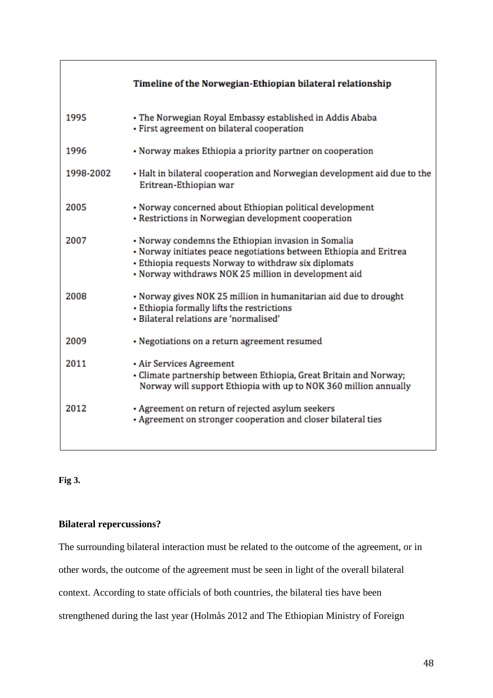|           | Timeline of the Norwegian-Ethiopian bilateral relationship                                                                                                                                                                                |  |
|-----------|-------------------------------------------------------------------------------------------------------------------------------------------------------------------------------------------------------------------------------------------|--|
| 1995      | • The Norwegian Royal Embassy established in Addis Ababa<br>· First agreement on bilateral cooperation                                                                                                                                    |  |
| 1996      | • Norway makes Ethiopia a priority partner on cooperation                                                                                                                                                                                 |  |
| 1998-2002 | • Halt in bilateral cooperation and Norwegian development aid due to the<br>Eritrean-Ethiopian war                                                                                                                                        |  |
| 2005      | • Norway concerned about Ethiopian political development<br>• Restrictions in Norwegian development cooperation                                                                                                                           |  |
| 2007      | • Norway condemns the Ethiopian invasion in Somalia<br>· Norway initiates peace negotiations between Ethiopia and Eritrea<br>• Ethiopia requests Norway to withdraw six diplomats<br>• Norway withdraws NOK 25 million in development aid |  |
| 2008      | • Norway gives NOK 25 million in humanitarian aid due to drought<br>· Ethiopia formally lifts the restrictions<br>· Bilateral relations are 'normalised'                                                                                  |  |
| 2009      | • Negotiations on a return agreement resumed                                                                                                                                                                                              |  |
| 2011      | · Air Services Agreement<br>• Climate partnership between Ethiopia, Great Britain and Norway;<br>Norway will support Ethiopia with up to NOK 360 million annually                                                                         |  |
| 2012      | • Agreement on return of rejected asylum seekers<br>• Agreement on stronger cooperation and closer bilateral ties                                                                                                                         |  |

**Fig 3.**

# **Bilateral repercussions?**

The surrounding bilateral interaction must be related to the outcome of the agreement, or in

other words, the outcome of the agreement must be seen in light of the overall bilateral

context. According to state officials of both countries, the bilateral ties have been

strengthened during the last year (Holmås 2012 and The Ethiopian Ministry of Foreign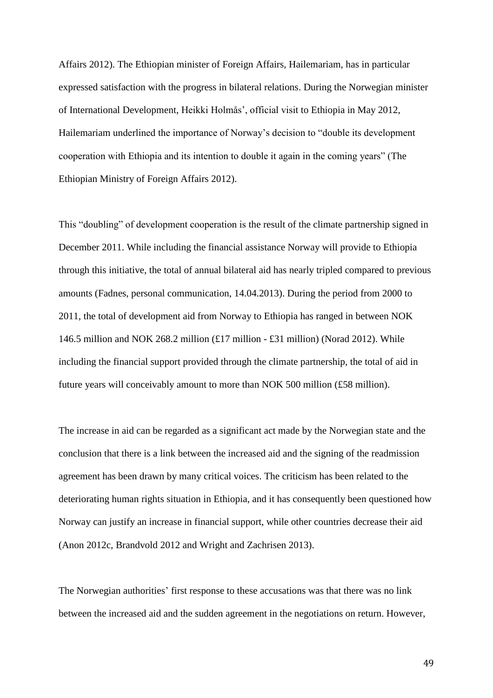Affairs 2012). The Ethiopian minister of Foreign Affairs, Hailemariam, has in particular expressed satisfaction with the progress in bilateral relations. During the Norwegian minister of International Development, Heikki Holmås', official visit to Ethiopia in May 2012, Hailemariam underlined the importance of Norway's decision to "double its development cooperation with Ethiopia and its intention to double it again in the coming years" (The Ethiopian Ministry of Foreign Affairs 2012).

This "doubling" of development cooperation is the result of the climate partnership signed in December 2011. While including the financial assistance Norway will provide to Ethiopia through this initiative, the total of annual bilateral aid has nearly tripled compared to previous amounts (Fadnes, personal communication, 14.04.2013). During the period from 2000 to 2011, the total of development aid from Norway to Ethiopia has ranged in between NOK 146.5 million and NOK 268.2 million (£17 million - £31 million) (Norad 2012). While including the financial support provided through the climate partnership, the total of aid in future years will conceivably amount to more than NOK 500 million (£58 million).

The increase in aid can be regarded as a significant act made by the Norwegian state and the conclusion that there is a link between the increased aid and the signing of the readmission agreement has been drawn by many critical voices. The criticism has been related to the deteriorating human rights situation in Ethiopia, and it has consequently been questioned how Norway can justify an increase in financial support, while other countries decrease their aid (Anon 2012c, Brandvold 2012 and Wright and Zachrisen 2013).

The Norwegian authorities' first response to these accusations was that there was no link between the increased aid and the sudden agreement in the negotiations on return. However,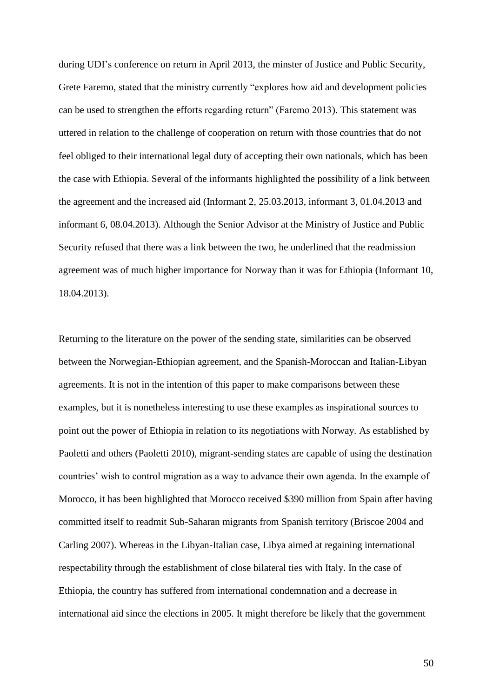during UDI's conference on return in April 2013, the minster of Justice and Public Security, Grete Faremo, stated that the ministry currently "explores how aid and development policies can be used to strengthen the efforts regarding return" (Faremo 2013). This statement was uttered in relation to the challenge of cooperation on return with those countries that do not feel obliged to their international legal duty of accepting their own nationals, which has been the case with Ethiopia. Several of the informants highlighted the possibility of a link between the agreement and the increased aid (Informant 2, 25.03.2013, informant 3, 01.04.2013 and informant 6, 08.04.2013). Although the Senior Advisor at the Ministry of Justice and Public Security refused that there was a link between the two, he underlined that the readmission agreement was of much higher importance for Norway than it was for Ethiopia (Informant 10, 18.04.2013).

Returning to the literature on the power of the sending state, similarities can be observed between the Norwegian-Ethiopian agreement, and the Spanish-Moroccan and Italian-Libyan agreements. It is not in the intention of this paper to make comparisons between these examples, but it is nonetheless interesting to use these examples as inspirational sources to point out the power of Ethiopia in relation to its negotiations with Norway. As established by Paoletti and others (Paoletti 2010), migrant-sending states are capable of using the destination countries' wish to control migration as a way to advance their own agenda. In the example of Morocco, it has been highlighted that Morocco received \$390 million from Spain after having committed itself to readmit Sub-Saharan migrants from Spanish territory (Briscoe 2004 and Carling 2007). Whereas in the Libyan-Italian case, Libya aimed at regaining international respectability through the establishment of close bilateral ties with Italy. In the case of Ethiopia, the country has suffered from international condemnation and a decrease in international aid since the elections in 2005. It might therefore be likely that the government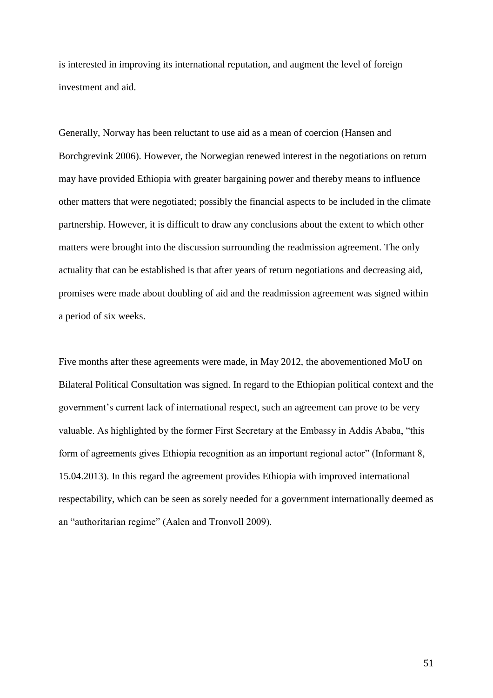is interested in improving its international reputation, and augment the level of foreign investment and aid.

Generally, Norway has been reluctant to use aid as a mean of coercion (Hansen and Borchgrevink 2006). However, the Norwegian renewed interest in the negotiations on return may have provided Ethiopia with greater bargaining power and thereby means to influence other matters that were negotiated; possibly the financial aspects to be included in the climate partnership. However, it is difficult to draw any conclusions about the extent to which other matters were brought into the discussion surrounding the readmission agreement. The only actuality that can be established is that after years of return negotiations and decreasing aid, promises were made about doubling of aid and the readmission agreement was signed within a period of six weeks.

Five months after these agreements were made, in May 2012, the abovementioned MoU on Bilateral Political Consultation was signed. In regard to the Ethiopian political context and the government's current lack of international respect, such an agreement can prove to be very valuable. As highlighted by the former First Secretary at the Embassy in Addis Ababa, "this form of agreements gives Ethiopia recognition as an important regional actor" (Informant 8, 15.04.2013). In this regard the agreement provides Ethiopia with improved international respectability, which can be seen as sorely needed for a government internationally deemed as an "authoritarian regime" (Aalen and Tronvoll 2009).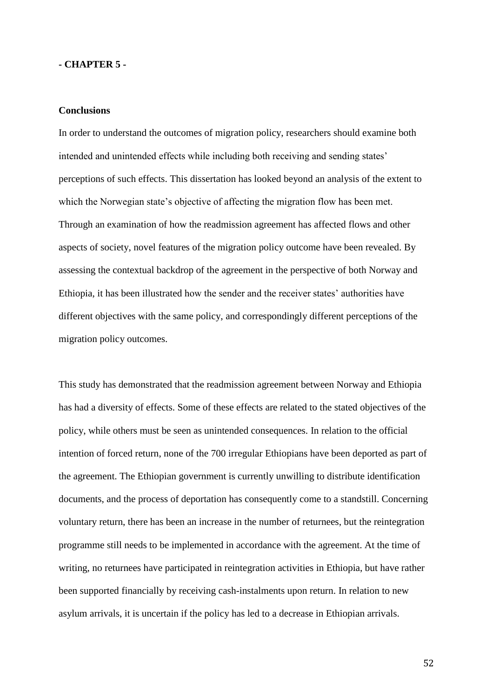### **- CHAPTER 5 -**

### **Conclusions**

In order to understand the outcomes of migration policy, researchers should examine both intended and unintended effects while including both receiving and sending states' perceptions of such effects. This dissertation has looked beyond an analysis of the extent to which the Norwegian state's objective of affecting the migration flow has been met. Through an examination of how the readmission agreement has affected flows and other aspects of society, novel features of the migration policy outcome have been revealed. By assessing the contextual backdrop of the agreement in the perspective of both Norway and Ethiopia, it has been illustrated how the sender and the receiver states' authorities have different objectives with the same policy, and correspondingly different perceptions of the migration policy outcomes.

This study has demonstrated that the readmission agreement between Norway and Ethiopia has had a diversity of effects. Some of these effects are related to the stated objectives of the policy, while others must be seen as unintended consequences. In relation to the official intention of forced return, none of the 700 irregular Ethiopians have been deported as part of the agreement. The Ethiopian government is currently unwilling to distribute identification documents, and the process of deportation has consequently come to a standstill. Concerning voluntary return, there has been an increase in the number of returnees, but the reintegration programme still needs to be implemented in accordance with the agreement. At the time of writing, no returnees have participated in reintegration activities in Ethiopia, but have rather been supported financially by receiving cash-instalments upon return. In relation to new asylum arrivals, it is uncertain if the policy has led to a decrease in Ethiopian arrivals.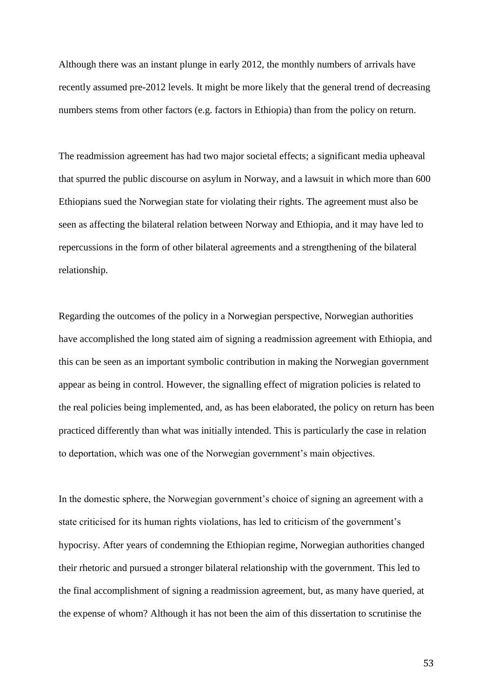Although there was an instant plunge in early 2012, the monthly numbers of arrivals have recently assumed pre-2012 levels. It might be more likely that the general trend of decreasing numbers stems from other factors (e.g. factors in Ethiopia) than from the policy on return.

The readmission agreement has had two major societal effects; a significant media upheaval that spurred the public discourse on asylum in Norway, and a lawsuit in which more than 600 Ethiopians sued the Norwegian state for violating their rights. The agreement must also be seen as affecting the bilateral relation between Norway and Ethiopia, and it may have led to repercussions in the form of other bilateral agreements and a strengthening of the bilateral relationship.

Regarding the outcomes of the policy in a Norwegian perspective, Norwegian authorities have accomplished the long stated aim of signing a readmission agreement with Ethiopia, and this can be seen as an important symbolic contribution in making the Norwegian government appear as being in control. However, the signalling effect of migration policies is related to the real policies being implemented, and, as has been elaborated, the policy on return has been practiced differently than what was initially intended. This is particularly the case in relation to deportation, which was one of the Norwegian government's main objectives.

In the domestic sphere, the Norwegian government's choice of signing an agreement with a state criticised for its human rights violations, has led to criticism of the government's hypocrisy. After years of condemning the Ethiopian regime, Norwegian authorities changed their rhetoric and pursued a stronger bilateral relationship with the government. This led to the final accomplishment of signing a readmission agreement, but, as many have queried, at the expense of whom? Although it has not been the aim of this dissertation to scrutinise the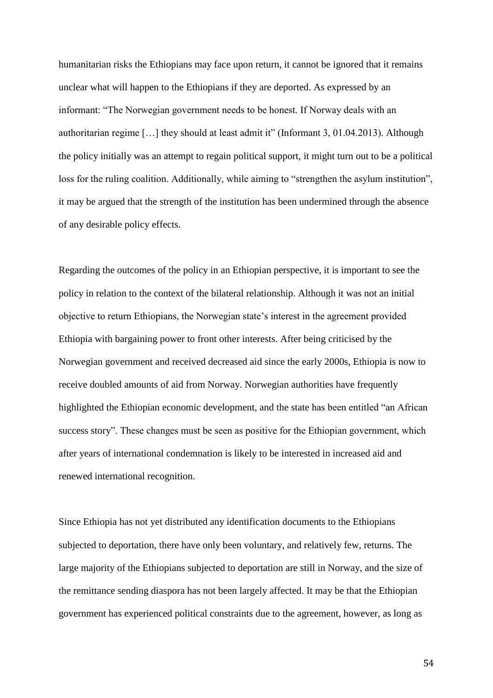humanitarian risks the Ethiopians may face upon return, it cannot be ignored that it remains unclear what will happen to the Ethiopians if they are deported. As expressed by an informant: "The Norwegian government needs to be honest. If Norway deals with an authoritarian regime […] they should at least admit it" (Informant 3, 01.04.2013). Although the policy initially was an attempt to regain political support, it might turn out to be a political loss for the ruling coalition. Additionally, while aiming to "strengthen the asylum institution", it may be argued that the strength of the institution has been undermined through the absence of any desirable policy effects.

Regarding the outcomes of the policy in an Ethiopian perspective, it is important to see the policy in relation to the context of the bilateral relationship. Although it was not an initial objective to return Ethiopians, the Norwegian state's interest in the agreement provided Ethiopia with bargaining power to front other interests. After being criticised by the Norwegian government and received decreased aid since the early 2000s, Ethiopia is now to receive doubled amounts of aid from Norway. Norwegian authorities have frequently highlighted the Ethiopian economic development, and the state has been entitled "an African success story". These changes must be seen as positive for the Ethiopian government, which after years of international condemnation is likely to be interested in increased aid and renewed international recognition.

Since Ethiopia has not yet distributed any identification documents to the Ethiopians subjected to deportation, there have only been voluntary, and relatively few, returns. The large majority of the Ethiopians subjected to deportation are still in Norway, and the size of the remittance sending diaspora has not been largely affected. It may be that the Ethiopian government has experienced political constraints due to the agreement, however, as long as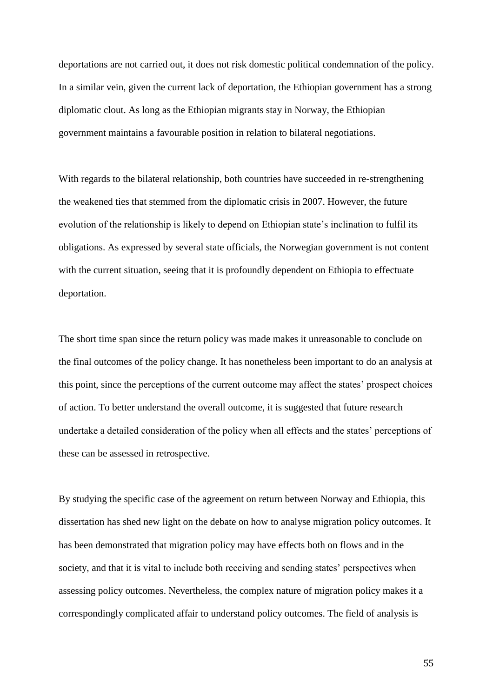deportations are not carried out, it does not risk domestic political condemnation of the policy. In a similar vein, given the current lack of deportation, the Ethiopian government has a strong diplomatic clout. As long as the Ethiopian migrants stay in Norway, the Ethiopian government maintains a favourable position in relation to bilateral negotiations.

With regards to the bilateral relationship, both countries have succeeded in re-strengthening the weakened ties that stemmed from the diplomatic crisis in 2007. However, the future evolution of the relationship is likely to depend on Ethiopian state's inclination to fulfil its obligations. As expressed by several state officials, the Norwegian government is not content with the current situation, seeing that it is profoundly dependent on Ethiopia to effectuate deportation.

The short time span since the return policy was made makes it unreasonable to conclude on the final outcomes of the policy change. It has nonetheless been important to do an analysis at this point, since the perceptions of the current outcome may affect the states' prospect choices of action. To better understand the overall outcome, it is suggested that future research undertake a detailed consideration of the policy when all effects and the states' perceptions of these can be assessed in retrospective.

By studying the specific case of the agreement on return between Norway and Ethiopia, this dissertation has shed new light on the debate on how to analyse migration policy outcomes. It has been demonstrated that migration policy may have effects both on flows and in the society, and that it is vital to include both receiving and sending states' perspectives when assessing policy outcomes. Nevertheless, the complex nature of migration policy makes it a correspondingly complicated affair to understand policy outcomes. The field of analysis is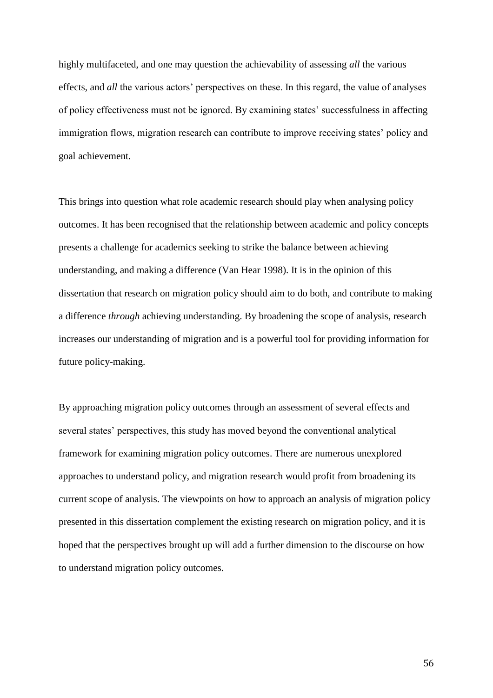highly multifaceted, and one may question the achievability of assessing *all* the various effects, and *all* the various actors' perspectives on these. In this regard, the value of analyses of policy effectiveness must not be ignored. By examining states' successfulness in affecting immigration flows, migration research can contribute to improve receiving states' policy and goal achievement.

This brings into question what role academic research should play when analysing policy outcomes. It has been recognised that the relationship between academic and policy concepts presents a challenge for academics seeking to strike the balance between achieving understanding, and making a difference (Van Hear 1998). It is in the opinion of this dissertation that research on migration policy should aim to do both, and contribute to making a difference *through* achieving understanding. By broadening the scope of analysis, research increases our understanding of migration and is a powerful tool for providing information for future policy-making.

By approaching migration policy outcomes through an assessment of several effects and several states' perspectives, this study has moved beyond the conventional analytical framework for examining migration policy outcomes. There are numerous unexplored approaches to understand policy, and migration research would profit from broadening its current scope of analysis. The viewpoints on how to approach an analysis of migration policy presented in this dissertation complement the existing research on migration policy, and it is hoped that the perspectives brought up will add a further dimension to the discourse on how to understand migration policy outcomes.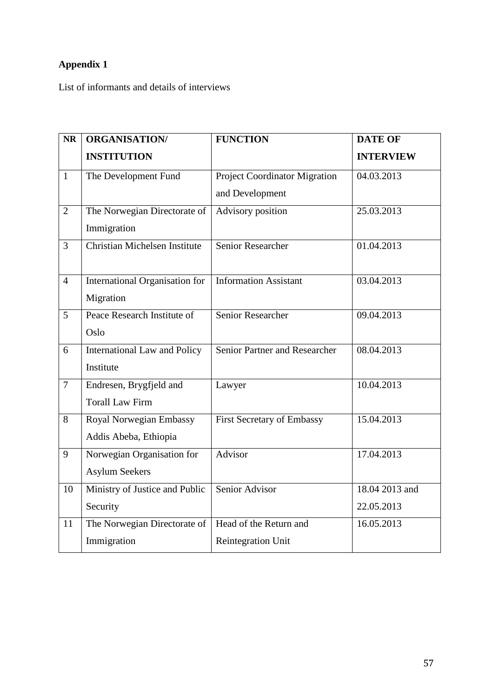# **Appendix 1**

List of informants and details of interviews

| <b>NR</b>      | <b>ORGANISATION/</b>                | <b>FUNCTION</b>                      | <b>DATE OF</b>   |
|----------------|-------------------------------------|--------------------------------------|------------------|
|                | <b>INSTITUTION</b>                  |                                      | <b>INTERVIEW</b> |
| $\mathbf{1}$   | The Development Fund                | <b>Project Coordinator Migration</b> | 04.03.2013       |
|                |                                     | and Development                      |                  |
| $\overline{2}$ | The Norwegian Directorate of        | Advisory position                    | 25.03.2013       |
|                | Immigration                         |                                      |                  |
| 3              | Christian Michelsen Institute       | <b>Senior Researcher</b>             | 01.04.2013       |
|                |                                     |                                      |                  |
| $\overline{4}$ | International Organisation for      | <b>Information Assistant</b>         | 03.04.2013       |
|                | Migration                           |                                      |                  |
| 5              | Peace Research Institute of         | <b>Senior Researcher</b>             | 09.04.2013       |
|                | Oslo                                |                                      |                  |
| 6              | <b>International Law and Policy</b> | Senior Partner and Researcher        | 08.04.2013       |
|                | Institute                           |                                      |                  |
| $\overline{7}$ | Endresen, Brygfjeld and             | Lawyer                               | 10.04.2013       |
|                | <b>Torall Law Firm</b>              |                                      |                  |
| 8              | Royal Norwegian Embassy             | <b>First Secretary of Embassy</b>    | 15.04.2013       |
|                | Addis Abeba, Ethiopia               |                                      |                  |
| 9              | Norwegian Organisation for          | Advisor                              | 17.04.2013       |
|                | <b>Asylum Seekers</b>               |                                      |                  |
| 10             | Ministry of Justice and Public      | Senior Advisor                       | 18.04 2013 and   |
|                | Security                            |                                      | 22.05.2013       |
| 11             | The Norwegian Directorate of        | Head of the Return and               | 16.05.2013       |
|                | Immigration                         | Reintegration Unit                   |                  |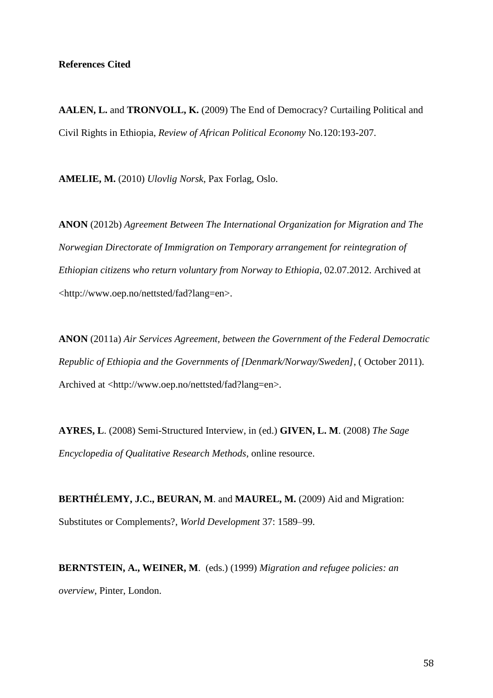**AALEN, L.** and **TRONVOLL, K.** (2009) The End of Democracy? Curtailing Political and Civil Rights in Ethiopia, *Review of African Political Economy* No.120:193-207.

**AMELIE, M.** (2010) *Ulovlig Norsk*, Pax Forlag, Oslo.

**ANON** (2012b) *Agreement Between The International Organization for Migration and The Norwegian Directorate of Immigration on Temporary arrangement for reintegration of Ethiopian citizens who return voluntary from Norway to Ethiopia*, 02.07.2012. Archived at <http://www.oep.no/nettsted/fad?lang=en>.

**ANON** (2011a) *Air Services Agreement, between the Government of the Federal Democratic Republic of Ethiopia and the Governments of [Denmark/Norway/Sweden]*, ( October 2011). Archived at <http://www.oep.no/nettsted/fad?lang=en>.

**AYRES, L**. (2008) Semi-Structured Interview, in (ed.) **GIVEN, L. M**. (2008) *The Sage Encyclopedia of Qualitative Research Methods*, online resource.

**BERTHÉLEMY, J.C., BEURAN, M**. and **MAUREL, M.** (2009) Aid and Migration: Substitutes or Complements?, *World Development* 37: 1589–99.

**BERNTSTEIN, A., WEINER, M**. (eds.) (1999) *Migration and refugee policies: an overview*, Pinter, London.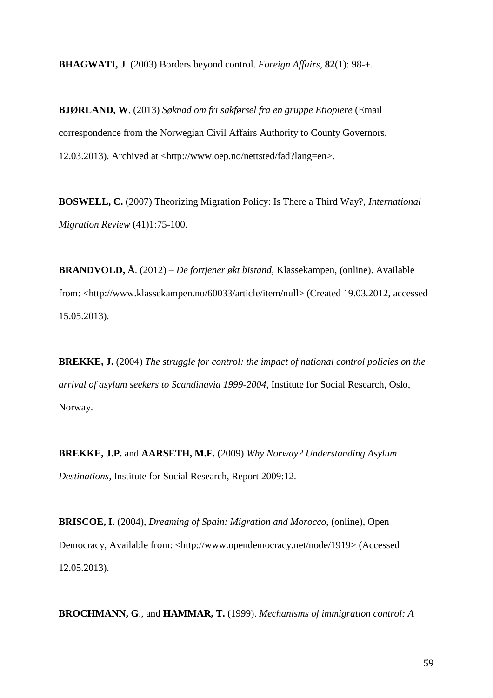**BHAGWATI, J**. (2003) Borders beyond control. *Foreign Affairs,* **82**(1): 98-+.

**BJØRLAND, W**. (2013) *Søknad om fri sakførsel fra en gruppe Etiopiere* (Email correspondence from the Norwegian Civil Affairs Authority to County Governors, 12.03.2013). Archived at <http://www.oep.no/nettsted/fad?lang=en>.

**BOSWELL, C.** (2007) Theorizing Migration Policy: Is There a Third Way?, *International Migration Review* (41)1:75-100.

**BRANDVOLD, Å**. (2012) *– De fortjener økt bistand,* Klassekampen, (online). Available from: <http://www.klassekampen.no/60033/article/item/null> (Created 19.03.2012, accessed 15.05.2013).

**BREKKE, J.** (2004) *The struggle for control: the impact of national control policies on the arrival of asylum seekers to Scandinavia 1999-2004*, Institute for Social Research, Oslo, Norway.

**BREKKE, J.P.** and **AARSETH, M.F.** (2009) *Why Norway? Understanding Asylum Destinations,* Institute for Social Research, Report 2009:12.

**BRISCOE, I.** (2004), *Dreaming of Spain: Migration and Morocco*, (online), Open Democracy, Available from: <http://www.opendemocracy.net/node/1919>(Accessed 12.05.2013).

**BROCHMANN, G**., and **HAMMAR, T.** (1999). *Mechanisms of immigration control: A*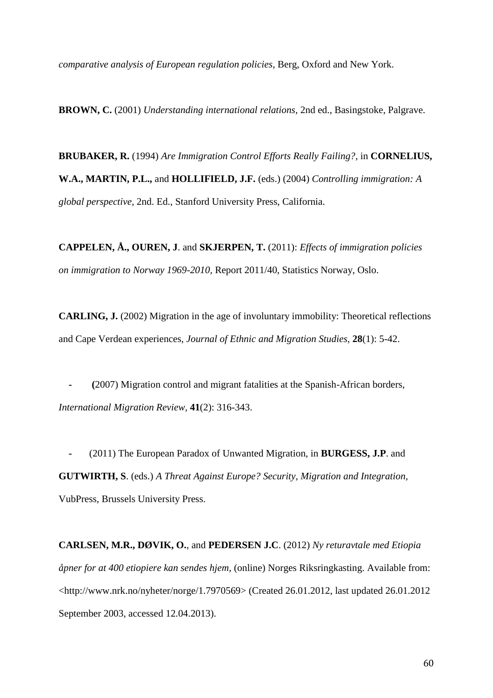*comparative analysis of European regulation policies*, Berg, Oxford and New York.

**BROWN, C.** (2001) *Understanding international relations,* 2nd ed., Basingstoke, Palgrave.

**BRUBAKER, R.** (1994) *Are Immigration Control Efforts Really Failing?*, in **CORNELIUS, W.A., MARTIN, P.L.,** and **HOLLIFIELD, J.F.** (eds.) (2004) *Controlling immigration: A global perspective*, 2nd. Ed., Stanford University Press, California.

**CAPPELEN, Å., OUREN, J**. and **SKJERPEN, T.** (2011): *Effects of immigration policies on immigration to Norway 1969-2010,* Report 2011/40, Statistics Norway, Oslo.

**CARLING, J.** (2002) Migration in the age of involuntary immobility: Theoretical reflections and Cape Verdean experiences, *Journal of Ethnic and Migration Studies,* **28**(1): 5-42.

 **- (**2007) Migration control and migrant fatalities at the Spanish-African borders, *International Migration Review,* **41**(2): 316-343.

 **-** (2011) The European Paradox of Unwanted Migration, in **BURGESS, J.P**. and **GUTWIRTH, S**. (eds.) *A Threat Against Europe? Security, Migration and Integration,* VubPress, Brussels University Press.

**CARLSEN, M.R., DØVIK, O.**, and **PEDERSEN J.C**. (2012) *Ny returavtale med Etiopia åpner for at 400 etiopiere kan sendes hjem*, (online) Norges Riksringkasting. Available from: <http://www.nrk.no/nyheter/norge/1.7970569> (Created 26.01.2012, last updated 26.01.2012 September 2003, accessed 12.04.2013).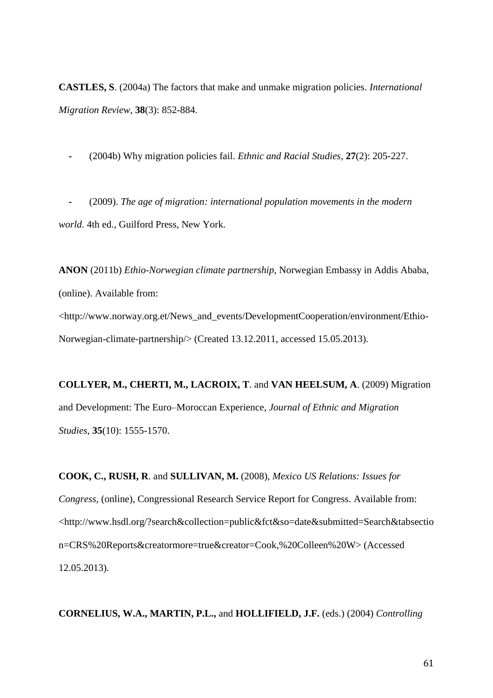**CASTLES, S**. (2004a) The factors that make and unmake migration policies. *International Migration Review,* **38**(3): 852-884.

 **-** (2004b) Why migration policies fail. *Ethnic and Racial Studies,* **27**(2): 205-227.

 **-** (2009). *The age of migration: international population movements in the modern world.* 4th ed., Guilford Press, New York.

**ANON** (2011b) *Ethio-Norwegian climate partnership*, Norwegian Embassy in Addis Ababa, (online). Available from: <http://www.norway.org.et/News\_and\_events/DevelopmentCooperation/environment/Ethio-Norwegian-climate-partnership/> (Created 13.12.2011, accessed 15.05.2013).

**COLLYER, M., CHERTI, M., LACROIX, T**. and **VAN HEELSUM, A**. (2009) Migration and Development: The Euro–Moroccan Experience, *Journal of Ethnic and Migration Studies,* **35**(10): 1555-1570.

**COOK, C., RUSH, R**. and **SULLIVAN, M.** (2008), *Mexico US Relations: Issues for Congress,* (online), Congressional Research Service Report for Congress. Available from: <http://www.hsdl.org/?search&collection=public&fct&so=date&submitted=Search&tabsectio n=CRS%20Reports&creatormore=true&creator=Cook,%20Colleen%20W> (Accessed 12.05.2013).

**CORNELIUS, W.A., MARTIN, P.L.,** and **HOLLIFIELD, J.F.** (eds.) (2004) *Controlling*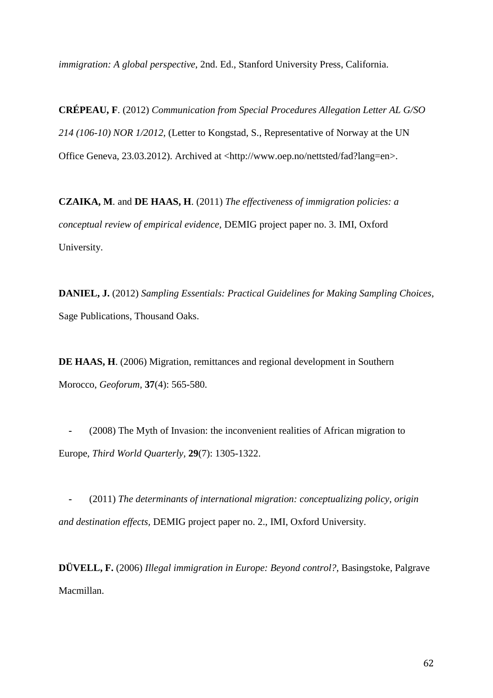*immigration: A global perspective*, 2nd. Ed., Stanford University Press, California.

**CRÉPEAU, F**. (2012) *Communication from Special Procedures Allegation Letter AL G/SO 214 (106-10) NOR 1/2012,* (Letter to Kongstad, S., Representative of Norway at the UN Office Geneva, 23.03.2012). Archived at <http://www.oep.no/nettsted/fad?lang=en>.

**CZAIKA, M**. and **DE HAAS, H**. (2011) *The effectiveness of immigration policies: a conceptual review of empirical evidence,* DEMIG project paper no. 3. IMI, Oxford University.

**DANIEL, J.** (2012) *Sampling Essentials: Practical Guidelines for Making Sampling Choices*, Sage Publications, Thousand Oaks.

**DE HAAS, H**. (2006) Migration, remittances and regional development in Southern Morocco, *Geoforum,* **37**(4): 565-580.

(2008) The Myth of Invasion: the inconvenient realities of African migration to Europe, *Third World Quarterly,* **29**(7): 1305-1322.

 **-** (2011) *The determinants of international migration: conceptualizing policy, origin and destination effects,* DEMIG project paper no. 2., IMI, Oxford University.

**DÜVELL, F.** (2006) *Illegal immigration in Europe: Beyond control?,* Basingstoke, Palgrave Macmillan.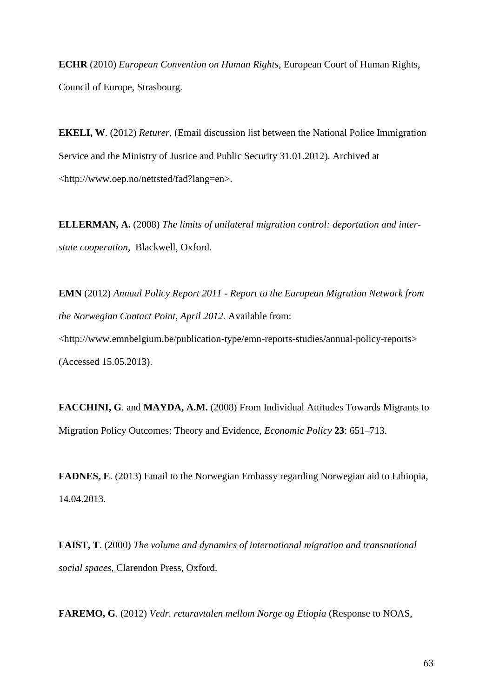**ECHR** (2010) *European Convention on Human Rights*, European Court of Human Rights, Council of Europe, Strasbourg.

**EKELI, W**. (2012) *Returer*, (Email discussion list between the National Police Immigration Service and the Ministry of Justice and Public Security 31.01.2012). Archived at <http://www.oep.no/nettsted/fad?lang=en>.

**ELLERMAN, A.** (2008) *The limits of unilateral migration control: deportation and interstate cooperation,* Blackwell, Oxford.

**EMN** (2012) *Annual Policy Report 2011 - Report to the European Migration Network from the Norwegian Contact Point, April 2012.* Available from: <http://www.emnbelgium.be/publication-type/emn-reports-studies/annual-policy-reports> (Accessed 15.05.2013).

**FACCHINI, G**. and **MAYDA, A.M.** (2008) From Individual Attitudes Towards Migrants to Migration Policy Outcomes: Theory and Evidence, *Economic Policy* **23**: 651–713.

**FADNES, E**. (2013) Email to the Norwegian Embassy regarding Norwegian aid to Ethiopia, 14.04.2013.

**FAIST, T**. (2000) *The volume and dynamics of international migration and transnational social spaces,* Clarendon Press, Oxford.

**FAREMO, G**. (2012) *Vedr. returavtalen mellom Norge og Etiopia* (Response to NOAS,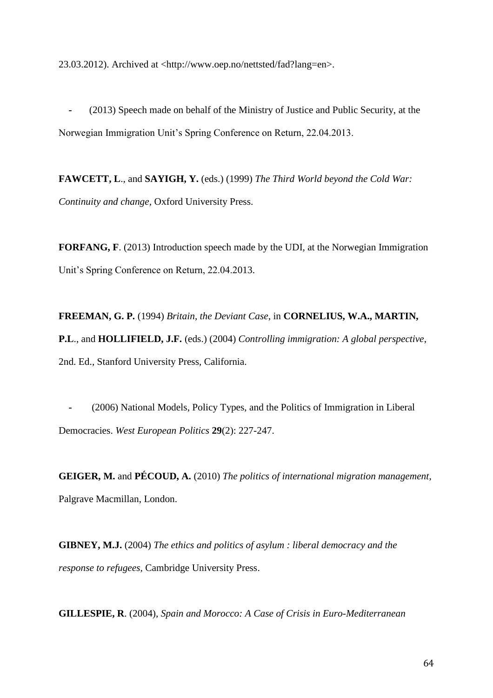23.03.2012). Archived at <http://www.oep.no/nettsted/fad?lang=en>.

 **-** (2013) Speech made on behalf of the Ministry of Justice and Public Security, at the Norwegian Immigration Unit's Spring Conference on Return, 22.04.2013.

**FAWCETT, L**., and **SAYIGH, Y.** (eds.) (1999) *The Third World beyond the Cold War: Continuity and change,* Oxford University Press.

**FORFANG, F**. (2013) Introduction speech made by the UDI, at the Norwegian Immigration Unit's Spring Conference on Return, 22.04.2013.

**FREEMAN, G. P.** (1994) *Britain, the Deviant Case*, in **CORNELIUS, W.A., MARTIN, P.L**., and **HOLLIFIELD, J.F.** (eds.) (2004) *Controlling immigration: A global perspective*, 2nd. Ed., Stanford University Press, California.

 **-** (2006) National Models, Policy Types, and the Politics of Immigration in Liberal Democracies. *West European Politics* **29**(2): 227-247.

**GEIGER, M.** and **PÉCOUD, A.** (2010) *The politics of international migration management*, Palgrave Macmillan, London.

**GIBNEY, M.J.** (2004) *The ethics and politics of asylum : liberal democracy and the response to refugees,* Cambridge University Press.

**GILLESPIE, R**. (2004), *Spain and Morocco: A Case of Crisis in Euro-Mediterranean*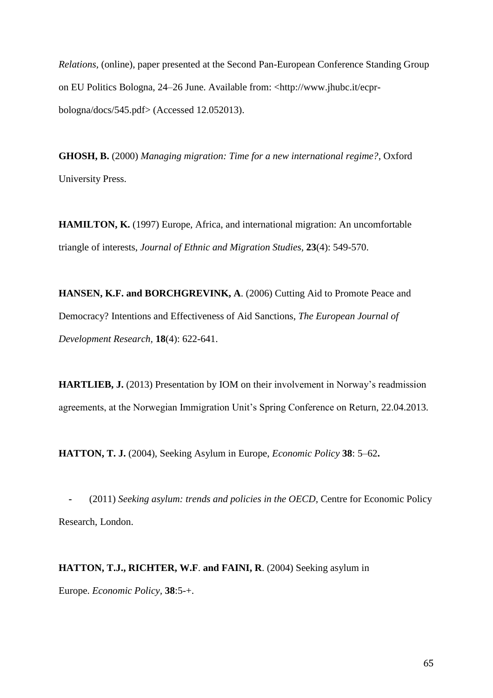*Relations,* (online), paper presented at the Second Pan-European Conference Standing Group on EU Politics Bologna, 24–26 June. Available from: <http://www.jhubc.it/ecprbologna/docs/545.pdf> (Accessed 12.052013).

**GHOSH, B.** (2000) *Managing migration: Time for a new international regime?*, Oxford University Press.

**HAMILTON, K.** (1997) Europe, Africa, and international migration: An uncomfortable triangle of interests, *Journal of Ethnic and Migration Studies,* **23**(4): 549-570.

**HANSEN, K.F. and BORCHGREVINK, A**. (2006) Cutting Aid to Promote Peace and Democracy? Intentions and Effectiveness of Aid Sanctions, *The European Journal of Development Research,* **18**(4): 622-641.

**HARTLIEB, J.** (2013) Presentation by IOM on their involvement in Norway's readmission agreements, at the Norwegian Immigration Unit's Spring Conference on Return, 22.04.2013.

**HATTON, T. J.** (2004), Seeking Asylum in Europe, *Economic Policy* **38**: 5–62**.**

 **-** (2011) *Seeking asylum: trends and policies in the OECD,* Centre for Economic Policy Research, London.

## **HATTON, T.J., RICHTER, W.F**. **and FAINI, R**. (2004) Seeking asylum in

Europe. *Economic Policy,* **38**:5-+.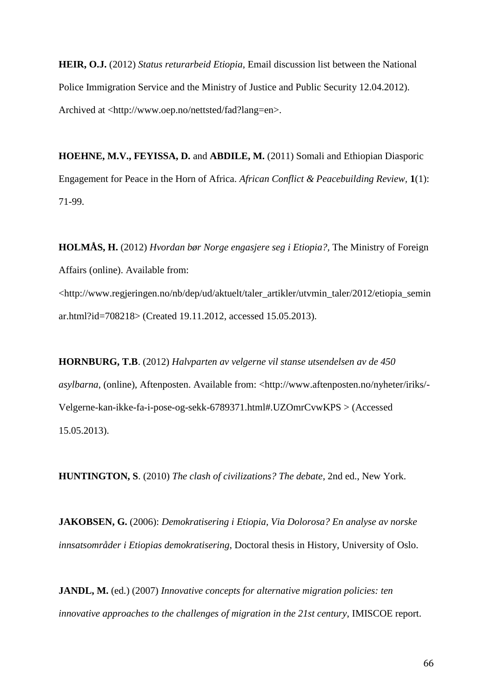**HEIR, O.J.** (2012) *Status returarbeid Etiopia*, Email discussion list between the National Police Immigration Service and the Ministry of Justice and Public Security 12.04.2012). Archived at <http://www.oep.no/nettsted/fad?lang=en>.

**HOEHNE, M.V., FEYISSA, D.** and **ABDILE, M.** (2011) Somali and Ethiopian Diasporic Engagement for Peace in the Horn of Africa. *African Conflict & Peacebuilding Review,* **1**(1): 71-99.

**HOLMÅS, H.** (2012) *Hvordan bør Norge engasjere seg i Etiopia?,* The Ministry of Foreign Affairs (online). Available from: <http://www.regjeringen.no/nb/dep/ud/aktuelt/taler\_artikler/utvmin\_taler/2012/etiopia\_semin ar.html?id=708218> (Created 19.11.2012, accessed 15.05.2013).

**HORNBURG, T.B**. (2012) *Halvparten av velgerne vil stanse utsendelsen av de 450 asylbarna*, (online), Aftenposten. Available from: <http://www.aftenposten.no/nyheter/iriks/- Velgerne-kan-ikke-fa-i-pose-og-sekk-6789371.html#.UZOmrCvwKPS > (Accessed 15.05.2013).

**HUNTINGTON, S**. (2010) *The clash of civilizations? The debate*, 2nd ed., New York.

**JAKOBSEN, G.** (2006): *Demokratisering i Etiopia, Via Dolorosa? En analyse av norske innsatsområder i Etiopias demokratisering*, Doctoral thesis in History, University of Oslo.

**JANDL, M.** (ed.) (2007) *Innovative concepts for alternative migration policies: ten innovative approaches to the challenges of migration in the 21st century, IMISCOE report.*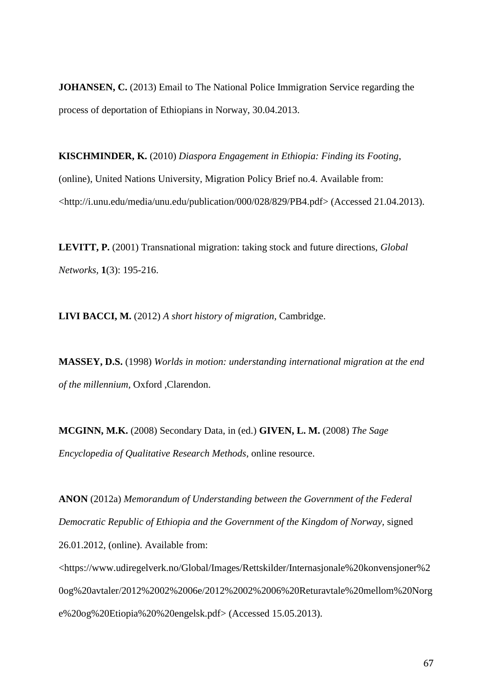**JOHANSEN, C.** (2013) Email to The National Police Immigration Service regarding the process of deportation of Ethiopians in Norway, 30.04.2013.

**KISCHMINDER, K.** (2010) *Diaspora Engagement in Ethiopia: Finding its Footing*, (online), United Nations University, Migration Policy Brief no.4. Available from: <http://i.unu.edu/media/unu.edu/publication/000/028/829/PB4.pdf> (Accessed 21.04.2013).

**LEVITT, P.** (2001) Transnational migration: taking stock and future directions, *Global Networks,* **1**(3): 195-216.

**LIVI BACCI, M.** (2012) *A short history of migration,* Cambridge.

**MASSEY, D.S.** (1998) *Worlds in motion: understanding international migration at the end of the millennium,* Oxford ,Clarendon.

**MCGINN, M.K.** (2008) Secondary Data, in (ed.) **GIVEN, L. M.** (2008) *The Sage Encyclopedia of Qualitative Research Methods*, online resource.

**ANON** (2012a) *Memorandum of Understanding between the Government of the Federal Democratic Republic of Ethiopia and the Government of the Kingdom of Norway,* signed 26.01.2012, (online). Available from:

<https://www.udiregelverk.no/Global/Images/Rettskilder/Internasjonale%20konvensjoner%2 0og%20avtaler/2012%2002%2006e/2012%2002%2006%20Returavtale%20mellom%20Norg e%20og%20Etiopia%20%20engelsk.pdf> (Accessed 15.05.2013).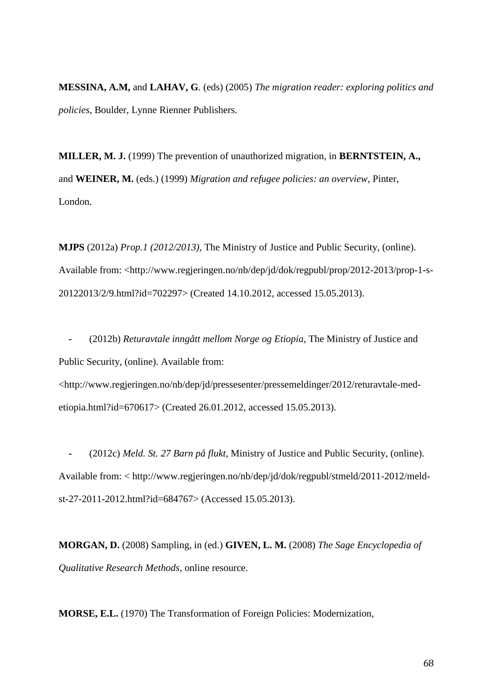**MESSINA, A.M,** and **LAHAV, G**. (eds) (2005) *The migration reader: exploring politics and policies*, Boulder, Lynne Rienner Publishers.

**MILLER, M. J.** (1999) The prevention of unauthorized migration, in **BERNTSTEIN, A.,** and **WEINER, M.** (eds.) (1999) *Migration and refugee policies: an overview*, Pinter, London.

**MJPS** (2012a) *Prop.1 (2012/2013),* The Ministry of Justice and Public Security, (online). Available from: <http://www.regjeringen.no/nb/dep/jd/dok/regpubl/prop/2012-2013/prop-1-s-20122013/2/9.html?id=702297> (Created 14.10.2012, accessed 15.05.2013).

 **-** (2012b) *Returavtale inngått mellom Norge og Etiopia*, The Ministry of Justice and Public Security, (online). Available from:

<http://www.regjeringen.no/nb/dep/jd/pressesenter/pressemeldinger/2012/returavtale-medetiopia.html?id=670617> (Created 26.01.2012, accessed 15.05.2013).

 **-** (2012c) *Meld. St. 27 Barn på flukt*, Ministry of Justice and Public Security, (online). Available from: < http://www.regjeringen.no/nb/dep/jd/dok/regpubl/stmeld/2011-2012/meldst-27-2011-2012.html?id=684767> (Accessed 15.05.2013).

**MORGAN, D.** (2008) Sampling, in (ed.) **GIVEN, L. M.** (2008) *The Sage Encyclopedia of Qualitative Research Methods*, online resource.

**MORSE, E.L.** (1970) The Transformation of Foreign Policies: Modernization,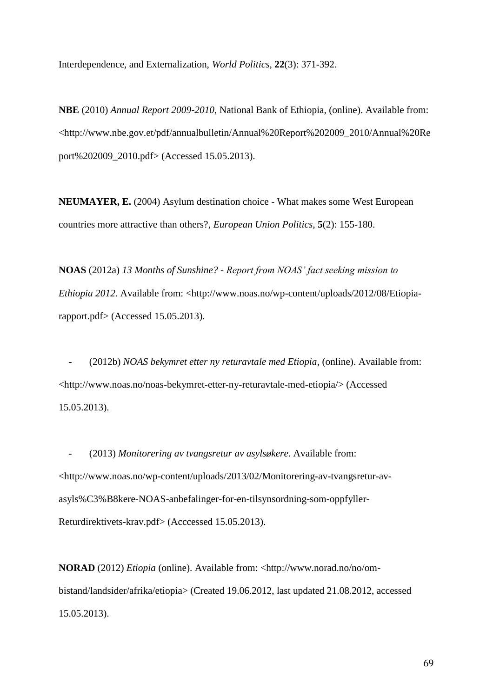Interdependence, and Externalization, *World Politics,* **22**(3): 371-392.

**NBE** (2010) *Annual Report 2009-2010*, National Bank of Ethiopia, (online). Available from: <http://www.nbe.gov.et/pdf/annualbulletin/Annual%20Report%202009\_2010/Annual%20Re port%202009\_2010.pdf> (Accessed 15.05.2013).

**NEUMAYER, E.** (2004) Asylum destination choice - What makes some West European countries more attractive than others?, *European Union Politics,* **5**(2): 155-180.

**NOAS** (2012a) *13 Months of Sunshine? - Report from NOAS' fact seeking mission to Ethiopia 2012.* Available from: <http://www.noas.no/wp-content/uploads/2012/08/Etiopiarapport.pdf> (Accessed 15.05.2013).

 **-** (2012b) *NOAS bekymret etter ny returavtale med Etiopia*, (online). Available from: <http://www.noas.no/noas-bekymret-etter-ny-returavtale-med-etiopia/> (Accessed 15.05.2013).

 **-** (2013) *Monitorering av tvangsretur av asylsøkere*. Available from: <http://www.noas.no/wp-content/uploads/2013/02/Monitorering-av-tvangsretur-avasyls%C3%B8kere-NOAS-anbefalinger-for-en-tilsynsordning-som-oppfyller-Returdirektivets-krav.pdf> (Acccessed 15.05.2013).

**NORAD** (2012) *Etiopia* (online). Available from: <http://www.norad.no/no/ombistand/landsider/afrika/etiopia> (Created 19.06.2012, last updated 21.08.2012, accessed 15.05.2013).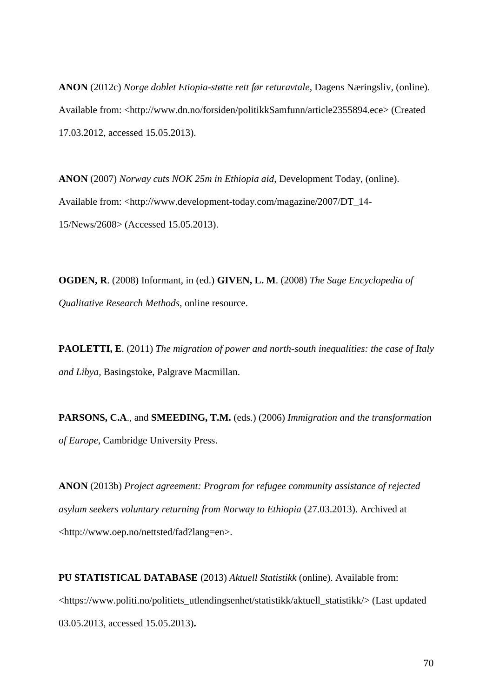**ANON** (2012c) *Norge doblet Etiopia-støtte rett før returavtale*, Dagens Næringsliv, (online). Available from: <http://www.dn.no/forsiden/politikkSamfunn/article2355894.ece> (Created 17.03.2012, accessed 15.05.2013).

**ANON** (2007) *Norway cuts NOK 25m in Ethiopia aid*, Development Today, (online). Available from: <http://www.development-today.com/magazine/2007/DT\_14- 15/News/2608> (Accessed 15.05.2013).

**OGDEN, R**. (2008) Informant, in (ed.) **GIVEN, L. M**. (2008) *The Sage Encyclopedia of Qualitative Research Methods*, online resource.

**PAOLETTI, E**. (2011) *The migration of power and north-south inequalities: the case of Italy and Libya,* Basingstoke, Palgrave Macmillan.

**PARSONS, C.A**., and **SMEEDING, T.M.** (eds.) (2006) *Immigration and the transformation of Europe*, Cambridge University Press.

**ANON** (2013b) *Project agreement: Program for refugee community assistance of rejected asylum seekers voluntary returning from Norway to Ethiopia* (27.03.2013). Archived at <http://www.oep.no/nettsted/fad?lang=en>.

**PU STATISTICAL DATABASE** (2013) *Aktuell Statistikk* (online). Available from: <https://www.politi.no/politiets\_utlendingsenhet/statistikk/aktuell\_statistikk/> (Last updated 03.05.2013, accessed 15.05.2013)**.**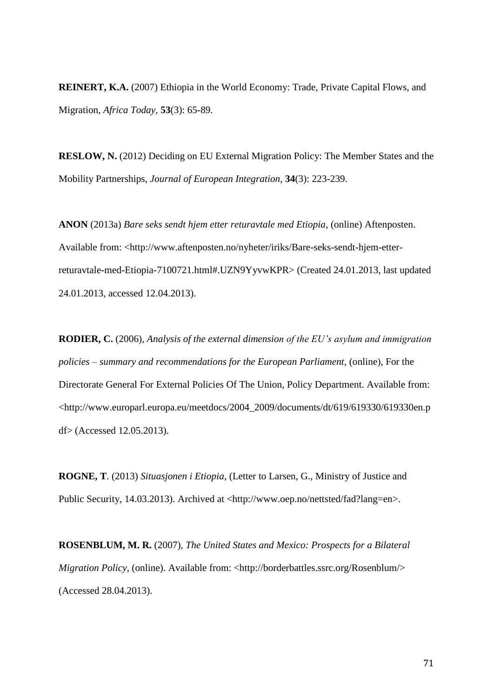**REINERT, K.A.** (2007) Ethiopia in the World Economy: Trade, Private Capital Flows, and Migration, *Africa Today,* **53**(3): 65-89.

**RESLOW, N.** (2012) Deciding on EU External Migration Policy: The Member States and the Mobility Partnerships, *Journal of European Integration,* **34**(3): 223-239.

**ANON** (2013a) *Bare seks sendt hjem etter returavtale med Etiopia*, (online) Aftenposten. Available from: <http://www.aftenposten.no/nyheter/iriks/Bare-seks-sendt-hjem-etterreturavtale-med-Etiopia-7100721.html#.UZN9YyvwKPR> (Created 24.01.2013, last updated 24.01.2013, accessed 12.04.2013).

**RODIER, C.** (2006), *Analysis of the external dimension of the EU's asylum and immigration policies – summary and recommendations for the European Parliament*, (online), For the Directorate General For External Policies Of The Union, Policy Department. Available from: <http://www.europarl.europa.eu/meetdocs/2004\_2009/documents/dt/619/619330/619330en.p df> (Accessed 12.05.2013).

**ROGNE, T**. (2013) *Situasjonen i Etiopia*, (Letter to Larsen, G., Ministry of Justice and Public Security, 14.03.2013). Archived at <http://www.oep.no/nettsted/fad?lang=en>.

**ROSENBLUM, M. R.** (2007), *The United States and Mexico: Prospects for a Bilateral Migration Policy*, (online). Available from: <http://borderbattles.ssrc.org/Rosenblum/> (Accessed 28.04.2013).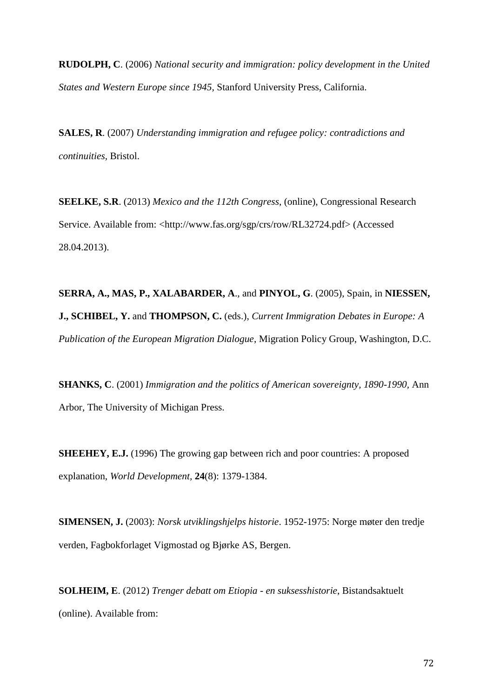**RUDOLPH, C**. (2006) *National security and immigration: policy development in the United States and Western Europe since 1945,* Stanford University Press, California.

**SALES, R**. (2007) *Understanding immigration and refugee policy: contradictions and continuities,* Bristol.

**SEELKE, S.R**. (2013) *Mexico and the 112th Congress*, (online), Congressional Research Service. Available from: <http://www.fas.org/sgp/crs/row/RL32724.pdf> (Accessed 28.04.2013).

**SERRA, A., MAS, P., XALABARDER, A**., and **PINYOL, G**. (2005), Spain, in **NIESSEN, J., SCHIBEL, Y.** and **THOMPSON, C.** (eds.), *Current Immigration Debates in Europe: A Publication of the European Migration Dialogue*, Migration Policy Group, Washington, D.C.

**SHANKS, C**. (2001) *Immigration and the politics of American sovereignty, 1890-1990,* Ann Arbor, The University of Michigan Press.

**SHEEHEY, E.J.** (1996) The growing gap between rich and poor countries: A proposed explanation, *World Development,* **24**(8): 1379-1384.

**SIMENSEN, J.** (2003): *Norsk utviklingshjelps historie*. 1952-1975: Norge møter den tredje verden, Fagbokforlaget Vigmostad og Bjørke AS, Bergen.

**SOLHEIM, E**. (2012) *Trenger debatt om Etiopia - en suksesshistorie*, Bistandsaktuelt (online). Available from: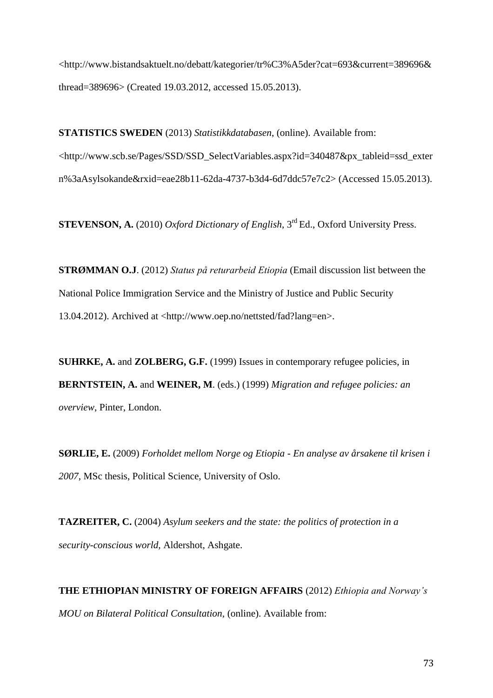<http://www.bistandsaktuelt.no/debatt/kategorier/tr%C3%A5der?cat=693&current=389696& thread=389696> (Created 19.03.2012, accessed 15.05.2013).

**STATISTICS SWEDEN** (2013) *Statistikkdatabasen*, (online). Available from: <http://www.scb.se/Pages/SSD/SSD\_SelectVariables.aspx?id=340487&px\_tableid=ssd\_exter n%3aAsylsokande&rxid=eae28b11-62da-4737-b3d4-6d7ddc57e7c2> (Accessed 15.05.2013).

**STEVENSON, A.** (2010) *Oxford Dictionary of English*, 3<sup>rd</sup> Ed., Oxford University Press.

**STRØMMAN O.J**. (2012) *Status på returarbeid Etiopia* (Email discussion list between the National Police Immigration Service and the Ministry of Justice and Public Security 13.04.2012). Archived at <http://www.oep.no/nettsted/fad?lang=en>.

**SUHRKE, A.** and **ZOLBERG, G.F.** (1999) Issues in contemporary refugee policies, in **BERNTSTEIN, A.** and **WEINER, M**. (eds.) (1999) *Migration and refugee policies: an overview*, Pinter, London.

**SØRLIE, E.** (2009) *Forholdet mellom Norge og Etiopia - En analyse av årsakene til krisen i 2007*, MSc thesis, Political Science, University of Oslo.

**TAZREITER, C.** (2004) *Asylum seekers and the state: the politics of protection in a security-conscious world,* Aldershot, Ashgate.

**THE ETHIOPIAN MINISTRY OF FOREIGN AFFAIRS** (2012) *Ethiopia and Norway's MOU on Bilateral Political Consultation,* (online). Available from: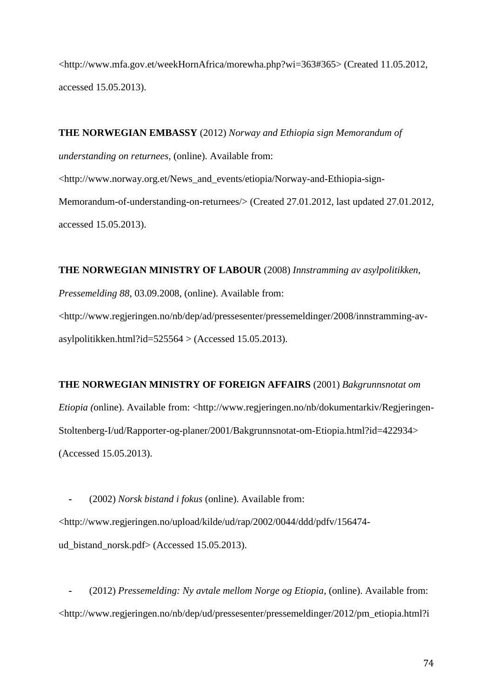<http://www.mfa.gov.et/weekHornAfrica/morewha.php?wi=363#365> (Created 11.05.2012, accessed 15.05.2013).

**THE NORWEGIAN EMBASSY** (2012) *Norway and Ethiopia sign Memorandum of* 

*understanding on returnees,* (online). Available from:

<http://www.norway.org.et/News\_and\_events/etiopia/Norway-and-Ethiopia-sign-Memorandum-of-understanding-on-returnees/> (Created 27.01.2012, last updated 27.01.2012, accessed 15.05.2013).

**THE NORWEGIAN MINISTRY OF LABOUR** (2008) *Innstramming av asylpolitikken, Pressemelding 88*, 03.09.2008, (online). Available from: <http://www.regjeringen.no/nb/dep/ad/pressesenter/pressemeldinger/2008/innstramming-avasylpolitikken.html?id=525564 > (Accessed 15.05.2013).

## **THE NORWEGIAN MINISTRY OF FOREIGN AFFAIRS** (2001) *Bakgrunnsnotat om Etiopia (online).* Available from: <http://www.regjeringen.no/nb/dokumentarkiv/Regjeringen-Stoltenberg-I/ud/Rapporter-og-planer/2001/Bakgrunnsnotat-om-Etiopia.html?id=422934> (Accessed 15.05.2013).

 **-** (2002) *Norsk bistand i fokus* (online). Available from: <http://www.regjeringen.no/upload/kilde/ud/rap/2002/0044/ddd/pdfv/156474 ud\_bistand\_norsk.pdf> (Accessed 15.05.2013).

 **-** (2012) *Pressemelding: Ny avtale mellom Norge og Etiopia*, (online). Available from: <http://www.regjeringen.no/nb/dep/ud/pressesenter/pressemeldinger/2012/pm\_etiopia.html?i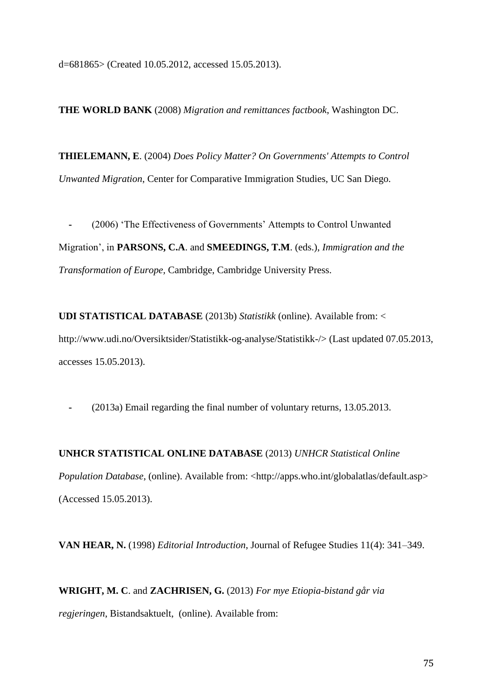d=681865> (Created 10.05.2012, accessed 15.05.2013).

**THE WORLD BANK** (2008) *Migration and remittances factbook*, Washington DC.

**THIELEMANN, E**. (2004) *Does Policy Matter? On Governments' Attempts to Control Unwanted Migration*, Center for Comparative Immigration Studies, UC San Diego.

(2006) 'The Effectiveness of Governments' Attempts to Control Unwanted Migration', in **PARSONS, C.A**. and **SMEEDINGS, T.M**. (eds.), *Immigration and the Transformation of Europe,* Cambridge, Cambridge University Press.

**UDI STATISTICAL DATABASE** (2013b) *Statistikk* (online). Available from: < http://www.udi.no/Oversiktsider/Statistikk-og-analyse/Statistikk-/> (Last updated 07.05.2013, accesses 15.05.2013).

 **-** (2013a) Email regarding the final number of voluntary returns, 13.05.2013.

## **UNHCR STATISTICAL ONLINE DATABASE** (2013) *UNHCR Statistical Online*

*Population Database*, (online). Available from: <http://apps.who.int/globalatlas/default.asp> (Accessed 15.05.2013).

**VAN HEAR, N.** (1998) *Editorial Introduction*, Journal of Refugee Studies 11(4): 341–349.

**WRIGHT, M. C**. and **ZACHRISEN, G.** (2013) *For mye Etiopia-bistand går via regjeringen*, Bistandsaktuelt, (online). Available from: